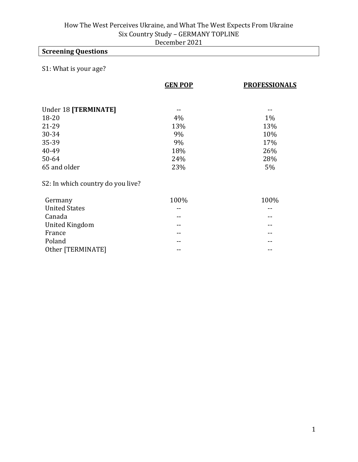# **Screening Questions**

## S1: What is your age?

|                                   | <b>GEN POP</b> | <b>PROFESSIONALS</b> |
|-----------------------------------|----------------|----------------------|
|                                   |                |                      |
| Under 18 [TERMINATE]              |                |                      |
| $18 - 20$                         | 4%             | $1\%$                |
| 21-29                             | 13%            | 13%                  |
| 30-34                             | 9%             | 10%                  |
| 35-39                             | 9%             | 17%                  |
| 40-49                             | 18%            | 26%                  |
| $50 - 64$                         | 24%            | 28%                  |
| 65 and older                      | 23%            | 5%                   |
| S2: In which country do you live? |                |                      |
| Germany                           | 100%           | 100%                 |
| <b>United States</b>              |                |                      |
| Canada                            |                |                      |

United Kingdom and the set of the set of the set of the set of the set of the set of the set of the set of the France **France France France France France France France France France France France France France FRANCE** Poland -- -- Other [TERMINATE] -- --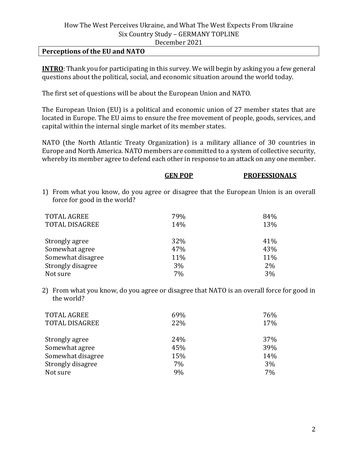#### **Perceptions of the EU and NATO**

**INTRO**: Thank you for participating in this survey. We will begin by asking you a few general questions about the political, social, and economic situation around the world today.

The first set of questions will be about the European Union and NATO.

The European Union (EU) is a political and economic union of 27 member states that are located in Europe. The EU aims to ensure the free movement of people, goods, services, and capital within the internal single market of its member states.

NATO (the North Atlantic Treaty Organization) is a military alliance of 30 countries in Europe and North America. NATO members are committed to a system of collective security, whereby its member agree to defend each other in response to an attack on any one member.

|                                                                                                                       | GEN POP | <b>PROFESSIONALS</b> |
|-----------------------------------------------------------------------------------------------------------------------|---------|----------------------|
| 1) From what you know, do you agree or disagree that the European Union is an overall<br>force for good in the world? |         |                      |
| <b>TOTAL AGREE</b>                                                                                                    | 79%     | 84%                  |
| <b>TOTAL DISAGREE</b>                                                                                                 | 14%     | 13%                  |
| Strongly agree                                                                                                        | 32%     | 41%                  |
| Somewhat agree                                                                                                        | 47%     | 43%                  |
| Somewhat disagree                                                                                                     | 11%     | 11%                  |
| Strongly disagree                                                                                                     | 3%      | $2\%$                |
| Not sure                                                                                                              | 7%      | 3%                   |

2) From what you know, do you agree or disagree that NATO is an overall force for good in the world?

| <b>TOTAL AGREE</b><br><b>TOTAL DISAGREE</b> | 69%<br>22% | 76%<br>17% |
|---------------------------------------------|------------|------------|
| Strongly agree                              | 24%        | 37%        |
| Somewhat agree                              | 45%        | 39%        |
| Somewhat disagree                           | 15%        | 14%        |
| Strongly disagree                           | 7%         | 3%         |
| Not sure                                    | 9%         | 7%         |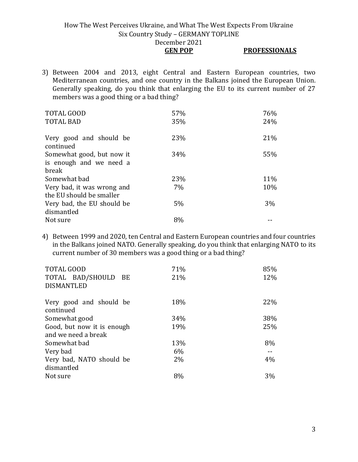#### How The West Perceives Ukraine, and What The West Expects From Ukraine Six Country Study – GERMANY TOPLINE December 2021 **GEN POP PROFESSIONALS**

3) Between 2004 and 2013, eight Central and Eastern European countries, two Mediterranean countries, and one country in the Balkans joined the European Union. Generally speaking, do you think that enlarging the EU to its current number of 27 members was a good thing or a bad thing?

| <b>TOTAL GOOD</b>                    | 57% | 76% |
|--------------------------------------|-----|-----|
| <b>TOTAL BAD</b>                     | 35% | 24% |
| Very good and should be<br>continued | 23% | 21% |
| Somewhat good, but now it            | 34% | 55% |
| is enough and we need a              |     |     |
| break                                |     |     |
| Somewhat bad                         | 23% | 11% |
| Very bad, it was wrong and           | 7%  | 10% |
| the EU should be smaller             |     |     |
| Very bad, the EU should be           | 5%  | 3%  |
| dismantled                           |     |     |
| Not sure                             | 8%  |     |

4) Between 1999 and 2020, ten Central and Eastern European countries and four countries in the Balkans joined NATO. Generally speaking, do you think that enlarging NATO to its current number of 30 members was a good thing or a bad thing?

| <b>TOTAL GOOD</b>                    | 71%   | 85% |
|--------------------------------------|-------|-----|
| TOTAL BAD/SHOULD BE                  | 21%   | 12% |
| <b>DISMANTLED</b>                    |       |     |
| Very good and should be<br>continued | 18%   | 22% |
| Somewhat good                        | 34%   | 38% |
| Good, but now it is enough           | 19%   | 25% |
| and we need a break                  |       |     |
| Somewhat bad                         | 13%   | 8%  |
| Very bad                             | 6%    |     |
| Very bad, NATO should be             | $2\%$ | 4%  |
| dismantled                           |       |     |
| Not sure                             | 8%    | 3%  |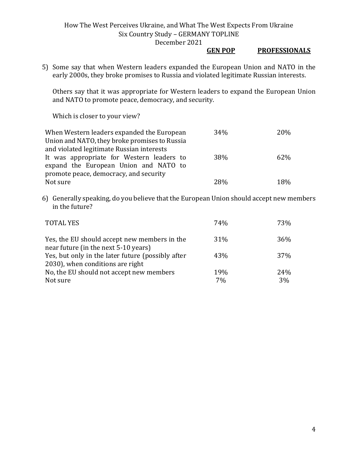#### **GEN POP PROFESSIONALS**

5) Some say that when Western leaders expanded the European Union and NATO in the early 2000s, they broke promises to Russia and violated legitimate Russian interests.

Others say that it was appropriate for Western leaders to expand the European Union and NATO to promote peace, democracy, and security.

Which is closer to your view?

| When Western leaders expanded the European    | 34%        | 20% |
|-----------------------------------------------|------------|-----|
| Union and NATO, they broke promises to Russia |            |     |
| and violated legitimate Russian interests     |            |     |
| It was appropriate for Western leaders to     | <b>38%</b> | 62% |
| expand the European Union and NATO to         |            |     |
| promote peace, democracy, and security        |            |     |
| Not sure                                      | 28%        | 18% |

6) Generally speaking, do you believe that the European Union should accept new members in the future?

| <b>TOTAL YES</b>                                                                      | 74%       | 73%       |
|---------------------------------------------------------------------------------------|-----------|-----------|
| Yes, the EU should accept new members in the<br>near future (in the next 5-10 years)  | 31%       | 36%       |
| Yes, but only in the later future (possibly after<br>2030), when conditions are right | 43%       | 37%       |
| No, the EU should not accept new members<br>Not sure                                  | 19%<br>7% | 24%<br>3% |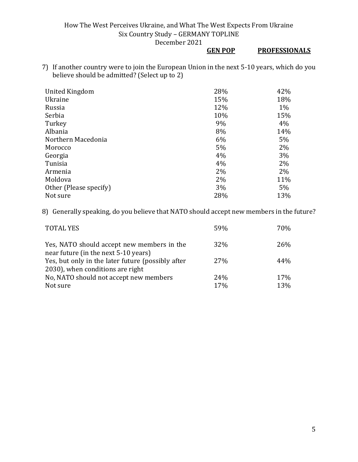## **GEN POP PROFESSIONALS**

7) If another country were to join the European Union in the next 5-10 years, which do you believe should be admitted? (Select up to 2)

| United Kingdom         | 28% | 42%   |
|------------------------|-----|-------|
| <b>Ukraine</b>         | 15% | 18%   |
| Russia                 | 12% | $1\%$ |
| Serbia                 | 10% | 15%   |
| Turkey                 | 9%  | 4%    |
| Albania                | 8%  | 14%   |
| Northern Macedonia     | 6%  | 5%    |
| Morocco                | 5%  | 2%    |
| Georgia                | 4%  | 3%    |
| Tunisia                | 4%  | 2%    |
| Armenia                | 2%  | 2%    |
| Moldova                | 2%  | 11%   |
| Other (Please specify) | 3%  | 5%    |
| Not sure               | 28% | 13%   |

8) Generally speaking, do you believe that NATO should accept new members in the future?

| <b>TOTAL YES</b>                                                                   | 59% | 70% |
|------------------------------------------------------------------------------------|-----|-----|
| Yes, NATO should accept new members in the<br>near future (in the next 5-10 years) | 32% | 26% |
| Yes, but only in the later future (possibly after                                  | 27% | 44% |
| 2030), when conditions are right                                                   |     |     |
| No, NATO should not accept new members                                             | 24% | 17% |
| Not sure                                                                           | 17% | 13% |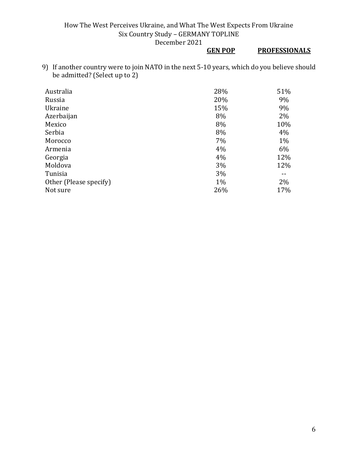## **GEN POP PROFESSIONALS**

9) If another country were to join NATO in the next 5-10 years, which do you believe should be admitted? (Select up to 2)

| Australia              | 28%   | 51% |
|------------------------|-------|-----|
| Russia                 | 20%   | 9%  |
| Ukraine                | 15%   | 9%  |
| Azerbaijan             | 8%    | 2%  |
| Mexico                 | 8%    | 10% |
| Serbia                 | 8%    | 4%  |
| Morocco                | 7%    | 1%  |
| Armenia                | 4%    | 6%  |
| Georgia                | 4%    | 12% |
| Moldova                | 3%    | 12% |
| Tunisia                | 3%    |     |
| Other (Please specify) | $1\%$ | 2%  |
| Not sure               | 26%   | 17% |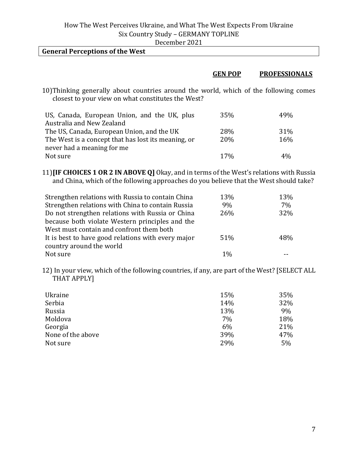| December 2021 |
|---------------|
|---------------|

| <b>General Perceptions of the West</b>           |                                                                                                                                                                                                                                   |                |                      |
|--------------------------------------------------|-----------------------------------------------------------------------------------------------------------------------------------------------------------------------------------------------------------------------------------|----------------|----------------------|
|                                                  |                                                                                                                                                                                                                                   |                |                      |
|                                                  |                                                                                                                                                                                                                                   | <b>GEN POP</b> | <b>PROFESSIONALS</b> |
| $\sim$ $\sim$ $\sim$ $\sim$ $\sim$ $\sim$ $\sim$ | $\mathbf{u}$ , and the contract of the contract of the contract of the contract of the contract of the contract of the contract of the contract of the contract of the contract of the contract of the contract of the contract o |                |                      |

10)Thinking generally about countries around the world, which of the following comes closest to your view on what constitutes the West?

| US, Canada, European Union, and the UK, plus        | 35%        | 49 <sub>%</sub> |
|-----------------------------------------------------|------------|-----------------|
| Australia and New Zealand                           |            |                 |
| The US, Canada, European Union, and the UK          | <b>28%</b> | 31%             |
| The West is a concept that has lost its meaning, or | <b>20%</b> | 16%             |
| never had a meaning for me                          |            |                 |
| Not sure                                            | 17%        | $4\%$           |

11)**[IF CHOICES 1 OR 2 IN ABOVE Q]** Okay, and in terms of the West's relations with Russia and China, which of the following approaches do you believe that the West should take?

| Strengthen relations with Russia to contain China  | 13%   | 13% |
|----------------------------------------------------|-------|-----|
| Strengthen relations with China to contain Russia  | 9%    | 7%  |
| Do not strengthen relations with Russia or China   | 26%   | 32% |
| because both violate Western principles and the    |       |     |
| West must contain and confront them both           |       |     |
| It is best to have good relations with every major | 51%   | 48% |
| country around the world                           |       |     |
| Not sure                                           | $1\%$ |     |

12) In your view, which of the following countries, if any, are part of the West? [SELECT ALL THAT APPLY]

| Ukraine           | 15% | 35% |
|-------------------|-----|-----|
| Serbia            | 14% | 32% |
| Russia            | 13% | 9%  |
| Moldova           | 7%  | 18% |
| Georgia           | 6%  | 21% |
| None of the above | 39% | 47% |
| Not sure          | 29% | 5%  |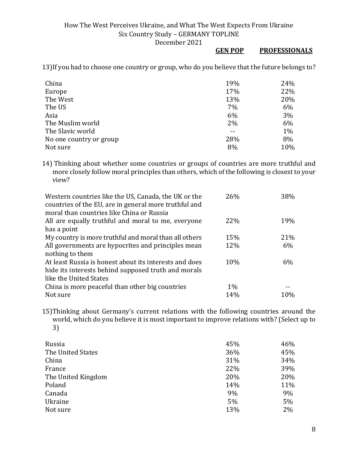#### **GEN POP PROFESSIONALS**

13)If you had to choose one country or group, who do you believe that the future belongs to?

| China                   | 19% | 24%   |
|-------------------------|-----|-------|
| Europe                  | 17% | 22%   |
| The West                | 13% | 20%   |
| The US                  | 7%  | 6%    |
| Asia                    | 6%  | 3%    |
| The Muslim world        | 2%  | 6%    |
| The Slavic world        |     | $1\%$ |
| No one country or group | 28% | 8%    |
| Not sure                | 8%  | 10%   |

14) Thinking about whether some countries or groups of countries are more truthful and more closely follow moral principles than others, which of the following is closest to your view?

| Western countries like the US, Canada, the UK or the<br>countries of the EU, are in general more truthful and | 26%   | 38% |
|---------------------------------------------------------------------------------------------------------------|-------|-----|
| moral than countries like China or Russia                                                                     |       |     |
| All are equally truthful and moral to me, everyone                                                            | 22%   | 19% |
| has a point                                                                                                   |       |     |
| My country is more truthful and moral than all others                                                         | 15%   | 21% |
| All governments are hypocrites and principles mean                                                            | 12%   | 6%  |
| nothing to them                                                                                               |       |     |
| At least Russia is honest about its interests and does                                                        | 10%   | 6%  |
| hide its interests behind supposed truth and morals                                                           |       |     |
| like the United States                                                                                        |       |     |
| China is more peaceful than other big countries                                                               | $1\%$ |     |
| Not sure                                                                                                      | 14%   | 10% |

15)Thinking about Germany's current relations with the following countries around the world, which do you believe it is most important to improve relations with? (Select up to 3)

| Russia             | 45% | 46% |
|--------------------|-----|-----|
| The United States  | 36% | 45% |
| China              | 31% | 34% |
| France             | 22% | 39% |
| The United Kingdom | 20% | 20% |
| Poland             | 14% | 11% |
| Canada             | 9%  | 9%  |
| Ukraine            | 5%  | 5%  |
| Not sure           | 13% | 2%  |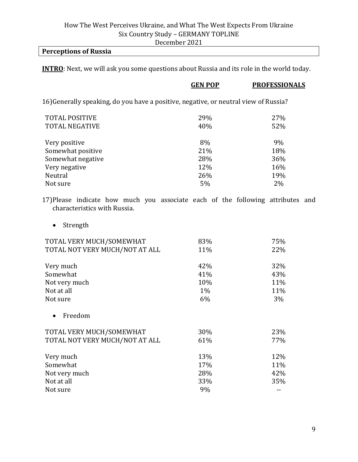# **Perceptions of Russia**

**INTRO**: Next, we will ask you some questions about Russia and its role in the world today.

|                                                                                                                 | <b>GEN POP</b> | <b>PROFESSIONALS</b> |
|-----------------------------------------------------------------------------------------------------------------|----------------|----------------------|
| 16) Generally speaking, do you have a positive, negative, or neutral view of Russia?                            |                |                      |
| <b>TOTAL POSITIVE</b>                                                                                           | 29%            | 27%                  |
| <b>TOTAL NEGATIVE</b>                                                                                           | 40%            | 52%                  |
| Very positive                                                                                                   | 8%             | 9%                   |
| Somewhat positive                                                                                               | 21%            | 18%                  |
| Somewhat negative                                                                                               | 28%            | 36%                  |
| Very negative                                                                                                   | 12%            | 16%                  |
| Neutral                                                                                                         | 26%            | 19%                  |
| Not sure                                                                                                        | 5%             | $2\%$                |
| 17) Please indicate how much you associate each of the following attributes and<br>characteristics with Russia. |                |                      |

• Strength

| TOTAL VERY MUCH/SOMEWHAT       | 83%   | 75% |
|--------------------------------|-------|-----|
| TOTAL NOT VERY MUCH/NOT AT ALL | 11%   | 22% |
| Very much                      | 42%   | 32% |
| Somewhat                       | 41%   | 43% |
| Not very much                  | 10%   | 11% |
| Not at all                     | $1\%$ | 11% |
| Not sure                       | 6%    | 3%  |
| Freedom                        |       |     |
| TOTAL VERY MUCH/SOMEWHAT       | 30%   | 23% |
| TOTAL NOT VERY MUCH/NOT AT ALL | 61%   | 77% |
| Very much                      | 13%   | 12% |
| Somewhat                       | 17%   | 11% |
| Not very much                  | 28%   | 42% |
| Not at all                     | 33%   | 35% |
| Not sure                       | 9%    |     |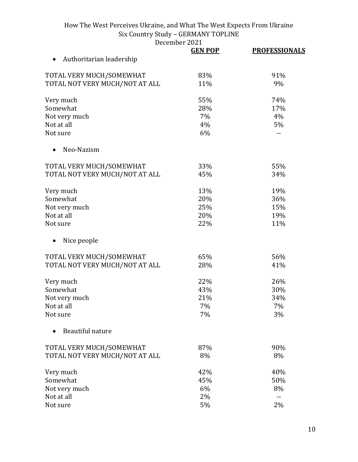December 2021<br>GEN POP

|                                | <b>GEN POP</b> | <b>PROFESSIONALS</b>     |
|--------------------------------|----------------|--------------------------|
| Authoritarian leadership       |                |                          |
| TOTAL VERY MUCH/SOMEWHAT       | 83%            | 91%                      |
| TOTAL NOT VERY MUCH/NOT AT ALL | 11%            | 9%                       |
| Very much                      | 55%            | 74%                      |
| Somewhat                       | 28%            | 17%                      |
| Not very much                  | 7%             | 4%                       |
| Not at all                     | 4%             | 5%                       |
| Not sure                       | 6%             | $\overline{a}$           |
| Neo-Nazism                     |                |                          |
| TOTAL VERY MUCH/SOMEWHAT       | 33%            | 55%                      |
| TOTAL NOT VERY MUCH/NOT AT ALL | 45%            | 34%                      |
| Very much                      | 13%            | 19%                      |
| Somewhat                       | 20%            | 36%                      |
| Not very much                  | 25%            | 15%                      |
| Not at all                     | 20%            | 19%                      |
| Not sure                       | 22%            | 11%                      |
| Nice people                    |                |                          |
| TOTAL VERY MUCH/SOMEWHAT       | 65%            | 56%                      |
| TOTAL NOT VERY MUCH/NOT AT ALL | 28%            | 41%                      |
| Very much                      | 22%            | 26%                      |
| Somewhat                       | 43%            | 30%                      |
| Not very much                  | 21%            | 34%                      |
| Not at all                     | 7%             | 7%                       |
| Not sure                       | 7%             | 3%                       |
| Beautiful nature               |                |                          |
| TOTAL VERY MUCH/SOMEWHAT       | 87%            | 90%                      |
| TOTAL NOT VERY MUCH/NOT AT ALL | 8%             | 8%                       |
| Very much                      | 42%            | 40%                      |
| Somewhat                       | 45%            | 50%                      |
| Not very much                  | 6%             | 8%                       |
| Not at all                     | 2%             | $\overline{\phantom{a}}$ |
| Not sure                       | $5\%$          | 2%                       |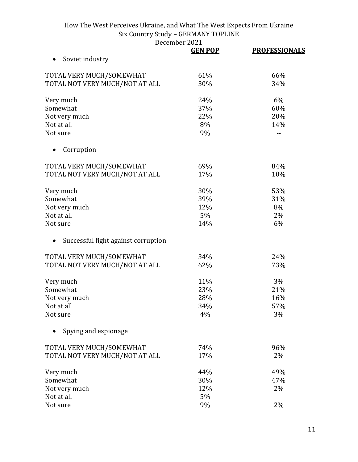December 2021<br>GEN POP

|                                     | <b>GEN POP</b> | <b>PROFESSIONALS</b> |
|-------------------------------------|----------------|----------------------|
| Soviet industry                     |                |                      |
| TOTAL VERY MUCH/SOMEWHAT            | 61%            | 66%                  |
| TOTAL NOT VERY MUCH/NOT AT ALL      | 30%            | 34%                  |
| Very much                           | 24%            | 6%                   |
| Somewhat                            | 37%            | 60%                  |
| Not very much                       | 22%            | 20%                  |
| Not at all                          | 8%             | 14%                  |
| Not sure                            | 9%             |                      |
| Corruption                          |                |                      |
| TOTAL VERY MUCH/SOMEWHAT            | 69%            | 84%                  |
| TOTAL NOT VERY MUCH/NOT AT ALL      | 17%            | 10%                  |
| Very much                           | 30%            | 53%                  |
| Somewhat                            | 39%            | 31%                  |
| Not very much                       | 12%            | 8%                   |
| Not at all                          | 5%             | 2%                   |
| Not sure                            | 14%            | 6%                   |
| Successful fight against corruption |                |                      |
| TOTAL VERY MUCH/SOMEWHAT            | 34%            | 24%                  |
| TOTAL NOT VERY MUCH/NOT AT ALL      | 62%            | 73%                  |
| Very much                           | 11%            | 3%                   |
| Somewhat                            | 23%            | 21%                  |
| Not very much                       | 28%            | 16%                  |
| Not at all                          | 34%            | 57%                  |
| Not sure                            | 4%             | 3%                   |
| Spying and espionage                |                |                      |
| TOTAL VERY MUCH/SOMEWHAT            | 74%            | 96%                  |
| TOTAL NOT VERY MUCH/NOT AT ALL      | 17%            | 2%                   |
| Very much                           | 44%            | 49%                  |
| Somewhat                            | 30%            | 47%                  |
| Not very much                       | 12%            | 2%                   |
| Not at all                          | 5%             | $-$                  |
| Not sure                            | 9%             | 2%                   |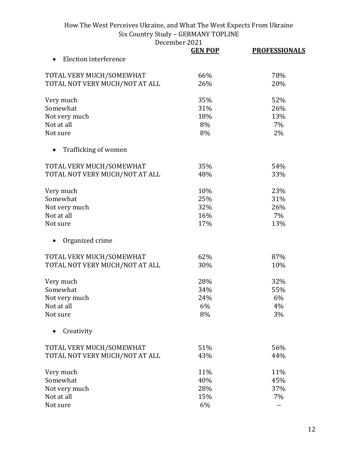December 2021<br> **CEN POP** 

|                                | DECEMBEL 2021  |                      |
|--------------------------------|----------------|----------------------|
|                                | <b>GEN POP</b> | <b>PROFESSIONALS</b> |
| <b>Election interference</b>   |                |                      |
| TOTAL VERY MUCH/SOMEWHAT       | 66%            | 78%                  |
| TOTAL NOT VERY MUCH/NOT AT ALL | 26%            | 20%                  |
| Very much                      | 35%            | 52%                  |
| Somewhat                       | 31%            | 26%                  |
| Not very much                  | 18%            | 13%                  |
| Not at all                     | 8%             | 7%                   |
| Not sure                       | 8%             | 2%                   |
| Trafficking of women           |                |                      |
| TOTAL VERY MUCH/SOMEWHAT       | 35%            | 54%                  |
| TOTAL NOT VERY MUCH/NOT AT ALL | 48%            | 33%                  |
| Very much                      | 10%            | 23%                  |
| Somewhat                       | 25%            | 31%                  |
| Not very much                  | 32%            | 26%                  |
| Not at all                     | 16%            | 7%                   |
| Not sure                       | 17%            | 13%                  |
| Organized crime                |                |                      |
| TOTAL VERY MUCH/SOMEWHAT       | 62%            | 87%                  |
| TOTAL NOT VERY MUCH/NOT AT ALL | 30%            | 10%                  |
| Very much                      | 28%            | 32%                  |
| Somewhat                       | 34%            | 55%                  |
| Not very much                  | 24%            | 6%                   |
| Not at all                     | 6%             | 4%                   |
| Not sure                       | 8%             | 3%                   |
| Creativity                     |                |                      |
| TOTAL VERY MUCH/SOMEWHAT       | 51%            | 56%                  |
| TOTAL NOT VERY MUCH/NOT AT ALL | 43%            | 44%                  |
| Very much                      | 11%            | 11%                  |
| Somewhat                       | 40%            | 45%                  |
| Not very much                  | 28%            | 37%                  |
| Not at all                     | 15%            | 7%                   |
| Not sure                       | 6%             | --                   |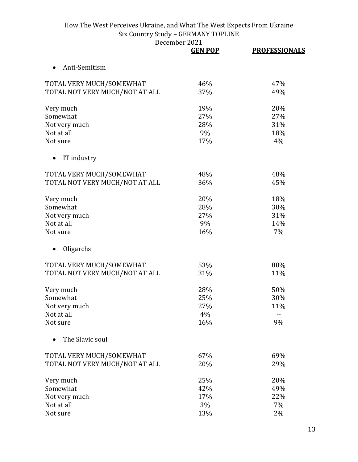|                                | <b>GEN POP</b> | <b>PROFESSIONALS</b> |
|--------------------------------|----------------|----------------------|
| Anti-Semitism                  |                |                      |
| TOTAL VERY MUCH/SOMEWHAT       | 46%            | 47%                  |
| TOTAL NOT VERY MUCH/NOT AT ALL | 37%            | 49%                  |
| Very much                      | 19%            | 20%                  |
| Somewhat                       | 27%            | 27%                  |
| Not very much                  | 28%            | 31%                  |
| Not at all                     | 9%             | 18%                  |
| Not sure                       | 17%            | 4%                   |
| IT industry                    |                |                      |
| TOTAL VERY MUCH/SOMEWHAT       | 48%            | 48%                  |
| TOTAL NOT VERY MUCH/NOT AT ALL | 36%            | 45%                  |
| Very much                      | 20%            | 18%                  |
| Somewhat                       | 28%            | 30%                  |
| Not very much                  | 27%            | 31%                  |
| Not at all                     | 9%             | 14%                  |
| Not sure                       | 16%            | 7%                   |
| Oligarchs                      |                |                      |
| TOTAL VERY MUCH/SOMEWHAT       | 53%            | 80%                  |
| TOTAL NOT VERY MUCH/NOT AT ALL | 31%            | 11%                  |
| Very much                      | 28%            | 50%                  |
| Somewhat                       | 25%            | 30%                  |
| Not very much                  | 27%            | 11%                  |
| Not at all                     | 4%             | --                   |
| Not sure                       | 16%            | 9%                   |
| The Slavic soul                |                |                      |
| TOTAL VERY MUCH/SOMEWHAT       | 67%            | 69%                  |
| TOTAL NOT VERY MUCH/NOT AT ALL | 20%            | 29%                  |
| Very much                      | 25%            | 20%                  |
| Somewhat                       | 42%            | 49%                  |
| Not very much                  | 17%            | 22%                  |
| Not at all                     | 3%             | 7%                   |
| Not sure                       | 13%            | 2%                   |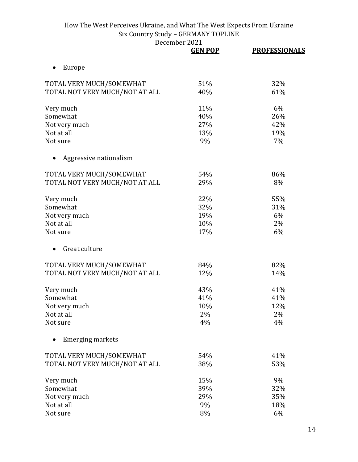|                                | <b>GEN POP</b> | <b>PROFESSIONALS</b> |
|--------------------------------|----------------|----------------------|
| Europe                         |                |                      |
| TOTAL VERY MUCH/SOMEWHAT       | 51%            | 32%                  |
| TOTAL NOT VERY MUCH/NOT AT ALL | 40%            | 61%                  |
| Very much                      | 11%            | 6%                   |
| Somewhat                       | 40%            | 26%                  |
| Not very much                  | 27%            | 42%                  |
| Not at all                     | 13%            | 19%                  |
| Not sure                       | 9%             | 7%                   |
| Aggressive nationalism         |                |                      |
| TOTAL VERY MUCH/SOMEWHAT       | 54%            | 86%                  |
| TOTAL NOT VERY MUCH/NOT AT ALL | 29%            | 8%                   |
| Very much                      | 22%            | 55%                  |
| Somewhat                       | 32%            | 31%                  |
| Not very much                  | 19%            | 6%                   |
| Not at all                     | 10%            | 2%                   |
| Not sure                       | 17%            | 6%                   |
| Great culture                  |                |                      |
| TOTAL VERY MUCH/SOMEWHAT       | 84%            | 82%                  |
| TOTAL NOT VERY MUCH/NOT AT ALL | 12%            | 14%                  |
| Very much                      | 43%            | 41%                  |
| Somewhat                       | 41%            | 41%                  |
| Not very much                  | 10%            | 12%                  |
| Not at all                     | 2%             | 2%                   |
| Not sure                       | 4%             | 4%                   |
| <b>Emerging markets</b>        |                |                      |
| TOTAL VERY MUCH/SOMEWHAT       | 54%            | 41%                  |
| TOTAL NOT VERY MUCH/NOT AT ALL | 38%            | 53%                  |
| Very much                      | 15%            | 9%                   |
| Somewhat                       | 39%            | 32%                  |
| Not very much                  | 29%            | 35%                  |
| Not at all                     | 9%             | 18%                  |
| Not sure                       | 8%             | 6%                   |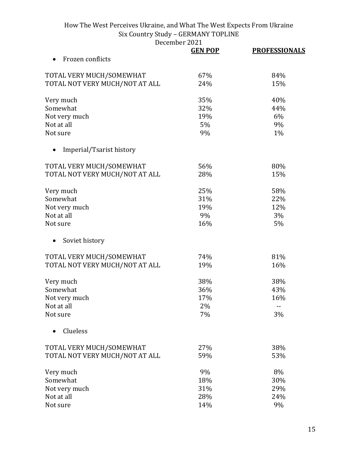December 2021<br> **CEN POP** 

|                                | <b>GEN POP</b> | <b>PROFESSIONALS</b> |
|--------------------------------|----------------|----------------------|
| Frozen conflicts               |                |                      |
| TOTAL VERY MUCH/SOMEWHAT       | 67%            | 84%                  |
| TOTAL NOT VERY MUCH/NOT AT ALL | 24%            | 15%                  |
| Very much                      | 35%            | 40%                  |
| Somewhat                       | 32%            | 44%                  |
| Not very much                  | 19%            | 6%                   |
| Not at all                     | 5%             | 9%                   |
| Not sure                       | 9%             | 1%                   |
| Imperial/Tsarist history       |                |                      |
| TOTAL VERY MUCH/SOMEWHAT       | 56%            | 80%                  |
| TOTAL NOT VERY MUCH/NOT AT ALL | 28%            | 15%                  |
| Very much                      | 25%            | 58%                  |
| Somewhat                       | 31%            | 22%                  |
| Not very much                  | 19%            | 12%                  |
| Not at all                     | 9%             | 3%                   |
| Not sure                       | 16%            | 5%                   |
| Soviet history                 |                |                      |
| TOTAL VERY MUCH/SOMEWHAT       | 74%            | 81%                  |
| TOTAL NOT VERY MUCH/NOT AT ALL | 19%            | 16%                  |
| Very much                      | 38%            | 38%                  |
| Somewhat                       | 36%            | 43%                  |
| Not very much                  | 17%            | 16%                  |
| Not at all                     | 2%             | $-$                  |
| Not sure                       | 7%             | 3%                   |
| Clueless                       |                |                      |
| TOTAL VERY MUCH/SOMEWHAT       | 27%            | 38%                  |
| TOTAL NOT VERY MUCH/NOT AT ALL | 59%            | 53%                  |
| Very much                      | 9%             | 8%                   |
| Somewhat                       | 18%            | 30%                  |
| Not very much                  | 31%            | 29%                  |
| Not at all                     | 28%            | 24%                  |
| Not sure                       | 14%            | 9%                   |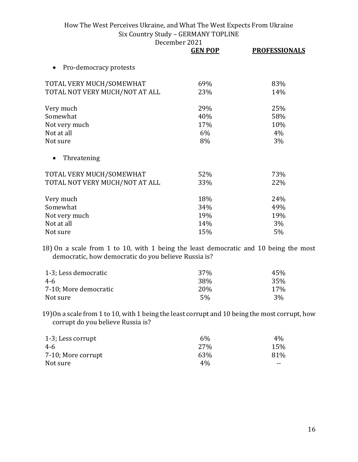December 2021

|                                     | <b>GEN POP</b> | <b>PROFESSIONALS</b> |
|-------------------------------------|----------------|----------------------|
| Pro-democracy protests<br>$\bullet$ |                |                      |
| TOTAL VERY MUCH/SOMEWHAT            | 69%            | 83%                  |
| TOTAL NOT VERY MUCH/NOT AT ALL      | 23%            | 14%                  |
| Very much                           | 29%            | 25%                  |
| Somewhat                            | 40%            | 58%                  |
| Not very much                       | 17%            | 10%                  |
| Not at all                          | 6%             | 4%                   |
| Not sure                            | 8%             | 3%                   |
| Threatening<br>$\bullet$            |                |                      |
| TOTAL VERY MUCH/SOMEWHAT            | 52%            | 73%                  |
| TOTAL NOT VERY MUCH/NOT AT ALL      | 33%            | 22%                  |
| Very much                           | 18%            | 24%                  |
| Somewhat                            | 34%            | 49%                  |
| Not very much                       | 19%            | 19%                  |
| Not at all                          | 14%            | 3%                   |
| Not sure                            | 15%            | 5%                   |

18) On a scale from 1 to 10, with 1 being the least democratic and 10 being the most democratic, how democratic do you believe Russia is?

| 1-3; Less democratic  | <b>37%</b>      | 45% |
|-----------------------|-----------------|-----|
| 4-6                   | 38%             | 35% |
| 7-10; More democratic | 20 <sub>%</sub> | 17% |
| Not sure              | 5%              | 3%  |

19)On a scale from 1 to 10, with 1 being the least corrupt and 10 being the most corrupt, how corrupt do you believe Russia is?

| 1-3; Less corrupt  | 6%         | $4\%$ |
|--------------------|------------|-------|
| 4-6                | <b>27%</b> | 15%   |
| 7-10; More corrupt | 63%        | 81%   |
| Not sure           | $4\%$      | --    |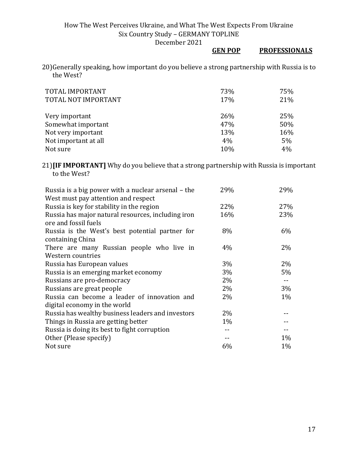# **GEN POP PROFESSIONALS**

20)Generally speaking, how important do you believe a strong partnership with Russia is to the West?

| TOTAL IMPORTANT<br>TOTAL NOT IMPORTANT | 73%<br>17% | 75%<br>21% |
|----------------------------------------|------------|------------|
| Very important                         | 26%        | 25%        |
| Somewhat important                     | 47%        | 50%        |
| Not very important                     | 13%        | 16%        |
| Not important at all                   | 4%         | 5%         |
| Not sure                               | 10%        | 4%         |

21)**[IF IMPORTANT]** Why do you believe that a strong partnership with Russia is important to the West?

| Russia is a big power with a nuclear arsenal - the | 29%   | 29%   |
|----------------------------------------------------|-------|-------|
| West must pay attention and respect                |       |       |
| Russia is key for stability in the region          | 22%   | 27%   |
| Russia has major natural resources, including iron | 16%   | 23%   |
| ore and fossil fuels                               |       |       |
| Russia is the West's best potential partner for    | 8%    | 6%    |
| containing China                                   |       |       |
| There are many Russian people who live in          | 4%    | 2%    |
| Western countries                                  |       |       |
| Russia has European values                         | 3%    | $2\%$ |
| Russia is an emerging market economy               | 3%    | 5%    |
| Russians are pro-democracy                         | 2%    | $- -$ |
| Russians are great people                          | 2%    | 3%    |
| Russia can become a leader of innovation and       | 2%    | $1\%$ |
| digital economy in the world                       |       |       |
| Russia has wealthy business leaders and investors  | $2\%$ |       |
| Things in Russia are getting better                | $1\%$ |       |
| Russia is doing its best to fight corruption       |       |       |
| Other (Please specify)                             |       | $1\%$ |
| Not sure                                           | 6%    | $1\%$ |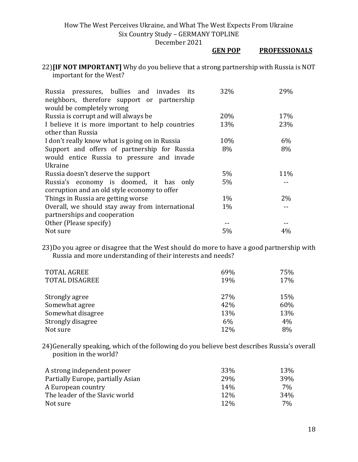December 2021

#### **GEN POP PROFESSIONALS**

22)**[IF NOT IMPORTANT]** Why do you believe that a strong partnership with Russia is NOT important for the West?

| Russia pressures, bullies and invades its<br>neighbors, therefore support or partnership | 32%   | 29%   |
|------------------------------------------------------------------------------------------|-------|-------|
| would be completely wrong                                                                |       |       |
| Russia is corrupt and will always be                                                     | 20%   | 17%   |
| I believe it is more important to help countries                                         | 13%   | 23%   |
| other than Russia                                                                        |       |       |
| I don't really know what is going on in Russia                                           | 10%   | 6%    |
| Support and offers of partnership for Russia                                             | 8%    | 8%    |
| would entice Russia to pressure and invade                                               |       |       |
| Ukraine                                                                                  |       |       |
| Russia doesn't deserve the support                                                       | $5\%$ | 11%   |
| Russia's economy is doomed, it has only                                                  | $5\%$ |       |
| corruption and an old style economy to offer                                             |       |       |
| Things in Russia are getting worse                                                       | $1\%$ | 2%    |
| Overall, we should stay away from international                                          | $1\%$ |       |
| partnerships and cooperation                                                             |       |       |
| Other (Please specify)                                                                   |       |       |
| Not sure                                                                                 | 5%    | $4\%$ |

23)Do you agree or disagree that the West should do more to have a good partnership with Russia and more understanding of their interests and needs?

| <b>TOTAL AGREE</b>    | 69% | 75% |
|-----------------------|-----|-----|
| <b>TOTAL DISAGREE</b> | 19% | 17% |
| Strongly agree        | 27% | 15% |
| Somewhat agree        | 42% | 60% |
| Somewhat disagree     | 13% | 13% |
| Strongly disagree     | 6%  | 4%  |
| Not sure              | 12% | 8%  |

24)Generally speaking, which of the following do you believe best describes Russia's overall position in the world?

| A strong independent power        | 33%        | 13%        |
|-----------------------------------|------------|------------|
| Partially Europe, partially Asian | 29%        | <b>39%</b> |
| A European country                | 14%        | 7%         |
| The leader of the Slavic world    | 12%        | 34%        |
| Not sure                          | <b>12%</b> | 7%         |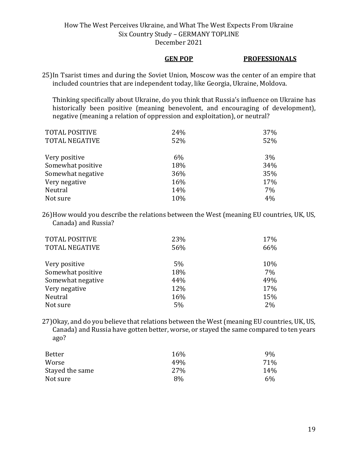#### **GEN POP PROFESSIONALS**

25)In Tsarist times and during the Soviet Union, Moscow was the center of an empire that included countries that are independent today, like Georgia, Ukraine, Moldova.

Thinking specifically about Ukraine, do you think that Russia's influence on Ukraine has historically been positive (meaning benevolent, and encouraging of development), negative (meaning a relation of oppression and exploitation), or neutral?

| <b>TOTAL POSITIVE</b> | 24% | 37% |
|-----------------------|-----|-----|
| <b>TOTAL NEGATIVE</b> | 52% | 52% |
|                       |     |     |
| Very positive         | 6%  | 3%  |
| Somewhat positive     | 18% | 34% |
| Somewhat negative     | 36% | 35% |
| Very negative         | 16% | 17% |
| Neutral               | 14% | 7%  |
| Not sure              | 10% | 4%  |

26)How would you describe the relations between the West (meaning EU countries, UK, US, Canada) and Russia?

| <b>TOTAL POSITIVE</b> | 23%   | 17% |
|-----------------------|-------|-----|
| <b>TOTAL NEGATIVE</b> | 56%   | 66% |
| Very positive         | $5\%$ | 10% |
| Somewhat positive     | 18%   | 7%  |
| Somewhat negative     | 44%   | 49% |
| Very negative         | 12%   | 17% |
| Neutral               | 16%   | 15% |
| Not sure              | 5%    | 2%  |

27)Okay, and do you believe that relations between the West (meaning EU countries, UK, US, Canada) and Russia have gotten better, worse, or stayed the same compared to ten years ago?

| Better          | 16% | 9%  |
|-----------------|-----|-----|
| Worse           | 49% | 71% |
| Stayed the same | 27% | 14% |
| Not sure        | 8%  | 6%  |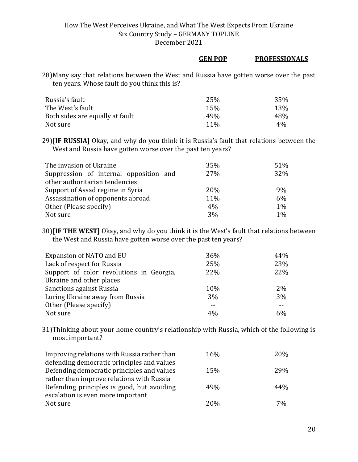#### **GEN POP PROFESSIONALS**

28)Many say that relations between the West and Russia have gotten worse over the past ten years. Whose fault do you think this is?

| Russia's fault                  | 25%    | 35%   |
|---------------------------------|--------|-------|
| The West's fault                | 15%    | 13%   |
| Both sides are equally at fault | 49%    | 48%   |
| Not sure                        | $11\%$ | $4\%$ |

29)**[IF RUSSIA]** Okay, and why do you think it is Russia's fault that relations between the West and Russia have gotten worse over the past ten years?

| The invasion of Ukraine                | 35%        | 51%   |
|----------------------------------------|------------|-------|
| Suppression of internal opposition and | 27%        | 32%   |
| other authoritarian tendencies         |            |       |
| Support of Assad regime in Syria       | <b>20%</b> | 9%    |
| Assassination of opponents abroad      | 11%        | 6%    |
| Other (Please specify)                 | 4%         | 1%    |
| Not sure                               | 3%         | $1\%$ |

30)**[IF THE WEST]** Okay, and why do you think it is the West's fault that relations between the West and Russia have gotten worse over the past ten years?

| Expansion of NATO and EU                 | 36% | 44% |
|------------------------------------------|-----|-----|
| Lack of respect for Russia               | 25% | 23% |
| Support of color revolutions in Georgia, | 22% | 22% |
| Ukraine and other places                 |     |     |
| <b>Sanctions against Russia</b>          | 10% | 2%  |
| Luring Ukraine away from Russia          | 3%  | 3%  |
| Other (Please specify)                   | --  |     |
| Not sure                                 | 4%  | 6%  |

31)Thinking about your home country's relationship with Russia, which of the following is most important?

| Improving relations with Russia rather than | 16% | 20% |
|---------------------------------------------|-----|-----|
| defending democratic principles and values  |     |     |
| Defending democratic principles and values  | 15% | 29% |
| rather than improve relations with Russia   |     |     |
| Defending principles is good, but avoiding  | 49% | 44% |
| escalation is even more important           |     |     |
| Not sure                                    | 20% | 7%  |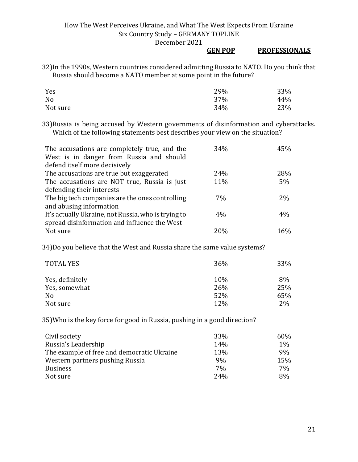#### **GEN POP PROFESSIONALS**

32)In the 1990s, Western countries considered admitting Russia to NATO. Do you think that Russia should become a NATO member at some point in the future?

| Yes      | 29% | 33% |
|----------|-----|-----|
| No       | 37% | 44% |
| Not sure | 34% | 23% |

33)Russia is being accused by Western governments of disinformation and cyberattacks. Which of the following statements best describes your view on the situation?

| The accusations are completely true, and the<br>West is in danger from Russia and should | 34% | 45% |
|------------------------------------------------------------------------------------------|-----|-----|
| defend itself more decisively                                                            |     |     |
| The accusations are true but exaggerated                                                 | 24% | 28% |
| The accusations are NOT true, Russia is just                                             | 11% | 5%  |
| defending their interests                                                                |     |     |
| The big tech companies are the ones controlling                                          | 7%  | 2%  |
| and abusing information                                                                  |     |     |
| It's actually Ukraine, not Russia, who is trying to                                      | 4%  | 4%  |
| spread disinformation and influence the West                                             |     |     |
| Not sure                                                                                 | 20% | 16% |

34)Do you believe that the West and Russia share the same value systems?

| <b>TOTAL YES</b> | 36% | 33% |
|------------------|-----|-----|
| Yes, definitely  | 10% | 8%  |
| Yes, somewhat    | 26% | 25% |
| N <sub>0</sub>   | 52% | 65% |
| Not sure         | 12% | 2%  |

35)Who is the key force for good in Russia, pushing in a good direction?

| Civil society                              | 33% | 60% |
|--------------------------------------------|-----|-----|
| Russia's Leadership                        | 14% | 1%  |
| The example of free and democratic Ukraine | 13% | 9%  |
| Western partners pushing Russia            | 9%  | 15% |
| <b>Business</b>                            | 7%  | 7%  |
| Not sure                                   | 24% | 8%  |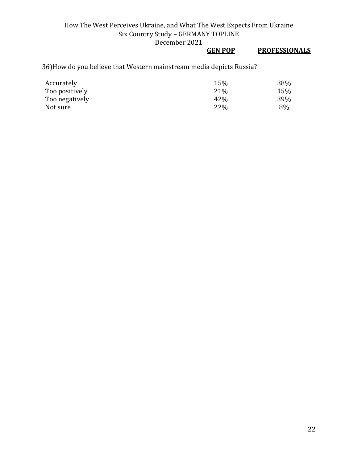## **GEN POP PROFESSIONALS**

36)How do you believe that Western mainstream media depicts Russia?

| Accurately     | 15% | 38% |
|----------------|-----|-----|
| Too positively | 21% | 15% |
| Too negatively | 42% | 39% |
| Not sure       | 22% | 8%  |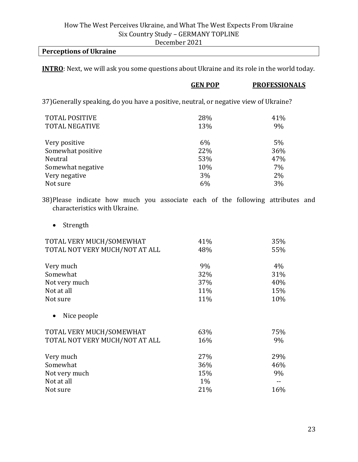# **Perceptions of Ukraine**

**INTRO**: Next, we will ask you some questions about Ukraine and its role in the world today.

|                                                                                       | <b>GEN POP</b> | <b>PROFESSIONALS</b> |
|---------------------------------------------------------------------------------------|----------------|----------------------|
| 37) Generally speaking, do you have a positive, neutral, or negative view of Ukraine? |                |                      |
| <b>TOTAL POSITIVE</b>                                                                 | 28%            | 41%                  |
| <b>TOTAL NEGATIVE</b>                                                                 | 13%            | 9%                   |
| Very positive                                                                         | 6%             | $5\%$                |
| Somewhat positive                                                                     | 22%            | 36%                  |
| Neutral                                                                               | 53%            | 47%                  |
| Somewhat negative                                                                     | 10%            | 7%                   |
| Very negative                                                                         | 3%             | $2\%$                |
| Not sure                                                                              | 6%             | 3%                   |
| 38) Please indicate how much you associate each of the following attributes and       |                |                      |

characteristics with Ukraine.

• Strength

| TOTAL VERY MUCH/SOMEWHAT       | 41%   | 35%   |
|--------------------------------|-------|-------|
| TOTAL NOT VERY MUCH/NOT AT ALL | 48%   | 55%   |
| Very much                      | 9%    | $4\%$ |
| Somewhat                       | 32%   | 31%   |
| Not very much                  | 37%   | 40%   |
| Not at all                     | 11%   | 15%   |
| Not sure                       | 11%   | 10%   |
| Nice people                    |       |       |
| TOTAL VERY MUCH/SOMEWHAT       | 63%   | 75%   |
| TOTAL NOT VERY MUCH/NOT AT ALL | 16%   | 9%    |
| Very much                      | 27%   | 29%   |
| Somewhat                       | 36%   | 46%   |
| Not very much                  | 15%   | 9%    |
| Not at all                     | $1\%$ |       |
| Not sure                       | 21%   | 16%   |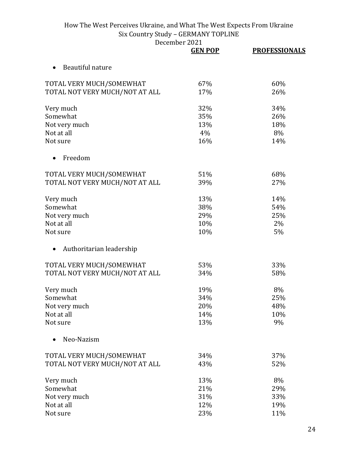|                                | <b>GEN POP</b> | <b>PROFESSIONALS</b> |
|--------------------------------|----------------|----------------------|
| Beautiful nature               |                |                      |
| TOTAL VERY MUCH/SOMEWHAT       | 67%            | 60%                  |
| TOTAL NOT VERY MUCH/NOT AT ALL | 17%            | 26%                  |
| Very much                      | 32%            | 34%                  |
| Somewhat                       | 35%            | 26%                  |
| Not very much                  | 13%            | 18%                  |
| Not at all                     | 4%             | 8%                   |
| Not sure                       | 16%            | 14%                  |
| Freedom                        |                |                      |
| TOTAL VERY MUCH/SOMEWHAT       | 51%            | 68%                  |
| TOTAL NOT VERY MUCH/NOT AT ALL | 39%            | 27%                  |
| Very much                      | 13%            | 14%                  |
| Somewhat                       | 38%            | 54%                  |
| Not very much                  | 29%            | 25%                  |
| Not at all                     | 10%            | 2%                   |
| Not sure                       | 10%            | 5%                   |
| Authoritarian leadership       |                |                      |
| TOTAL VERY MUCH/SOMEWHAT       | 53%            | 33%                  |
| TOTAL NOT VERY MUCH/NOT AT ALL | 34%            | 58%                  |
| Very much                      | 19%            | 8%                   |
| Somewhat                       | 34%            | 25%                  |
| Not very much                  | 20%            | 48%                  |
| Not at all                     | 14%            | 10%                  |
| Not sure                       | 13%            | 9%                   |
| Neo-Nazism                     |                |                      |
| TOTAL VERY MUCH/SOMEWHAT       | 34%            | 37%                  |
| TOTAL NOT VERY MUCH/NOT AT ALL | 43%            | 52%                  |
| Very much                      | 13%            | 8%                   |
| Somewhat                       | 21%            | 29%                  |
| Not very much                  | 31%            | 33%                  |
| Not at all                     | 12%            | 19%                  |
| Not sure                       | 23%            | 11%                  |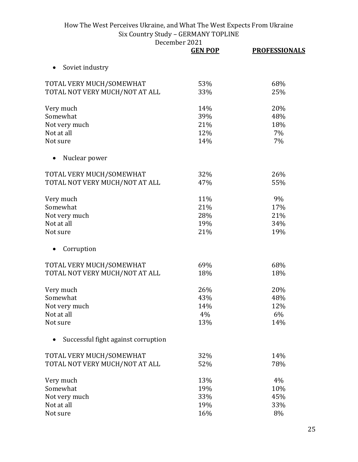|                                     | <b>GEN POP</b> | <b>PROFESSIONALS</b> |
|-------------------------------------|----------------|----------------------|
| Soviet industry<br>$\bullet$        |                |                      |
| TOTAL VERY MUCH/SOMEWHAT            | 53%            | 68%                  |
| TOTAL NOT VERY MUCH/NOT AT ALL      | 33%            | 25%                  |
| Very much                           | 14%            | 20%                  |
| Somewhat                            | 39%            | 48%                  |
| Not very much                       | 21%            | 18%                  |
| Not at all                          | 12%            | 7%                   |
| Not sure                            | 14%            | 7%                   |
| Nuclear power                       |                |                      |
| TOTAL VERY MUCH/SOMEWHAT            | 32%            | 26%                  |
| TOTAL NOT VERY MUCH/NOT AT ALL      | 47%            | 55%                  |
| Very much                           | 11%            | 9%                   |
| Somewhat                            | 21%            | 17%                  |
| Not very much                       | 28%            | 21%                  |
| Not at all                          | 19%            | 34%                  |
| Not sure                            | 21%            | 19%                  |
| Corruption                          |                |                      |
| TOTAL VERY MUCH/SOMEWHAT            | 69%            | 68%                  |
| TOTAL NOT VERY MUCH/NOT AT ALL      | 18%            | 18%                  |
| Very much                           | 26%            | 20%                  |
| Somewhat                            | 43%            | 48%                  |
| Not very much                       | 14%            | 12%                  |
| Not at all                          | 4%             | 6%                   |
| Not sure                            | 13%            | 14%                  |
| Successful fight against corruption |                |                      |
| TOTAL VERY MUCH/SOMEWHAT            | 32%            | 14%                  |
| TOTAL NOT VERY MUCH/NOT AT ALL      | 52%            | 78%                  |
| Very much                           | 13%            | 4%                   |
| Somewhat                            | 19%            | 10%                  |
| Not very much                       | 33%            | 45%                  |
| Not at all                          | 19%            | 33%                  |
| Not sure                            | 16%            | 8%                   |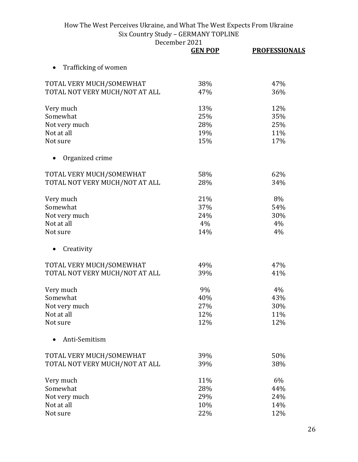|                                | <b>GEN POP</b> | <b>PROFESSIONALS</b> |
|--------------------------------|----------------|----------------------|
| Trafficking of women           |                |                      |
| TOTAL VERY MUCH/SOMEWHAT       | 38%            | 47%                  |
| TOTAL NOT VERY MUCH/NOT AT ALL | 47%            | 36%                  |
| Very much                      | 13%            | 12%                  |
| Somewhat                       | 25%            | 35%                  |
| Not very much                  | 28%            | 25%                  |
| Not at all                     | 19%            | 11%                  |
| Not sure                       | 15%            | 17%                  |
| Organized crime                |                |                      |
| TOTAL VERY MUCH/SOMEWHAT       | 58%            | 62%                  |
| TOTAL NOT VERY MUCH/NOT AT ALL | 28%            | 34%                  |
| Very much                      | 21%            | 8%                   |
| Somewhat                       | 37%            | 54%                  |
| Not very much                  | 24%            | 30%                  |
| Not at all                     | 4%             | 4%                   |
| Not sure                       | 14%            | 4%                   |
| Creativity<br>$\bullet$        |                |                      |
| TOTAL VERY MUCH/SOMEWHAT       | 49%            | 47%                  |
| TOTAL NOT VERY MUCH/NOT AT ALL | 39%            | 41%                  |
| Very much                      | 9%             | 4%                   |
| Somewhat                       | 40%            | 43%                  |
| Not very much                  | 27%            | 30%                  |
| Not at all                     | 12%            | 11%                  |
| Not sure                       | 12%            | 12%                  |
| Anti-Semitism                  |                |                      |
| TOTAL VERY MUCH/SOMEWHAT       | 39%            | 50%                  |
| TOTAL NOT VERY MUCH/NOT AT ALL | 39%            | 38%                  |
| Very much                      | 11%            | 6%                   |
| Somewhat                       | 28%            | 44%                  |
| Not very much                  | 29%            | 24%                  |
| Not at all                     | 10%            | 14%                  |
| Not sure                       | 22%            | 12%                  |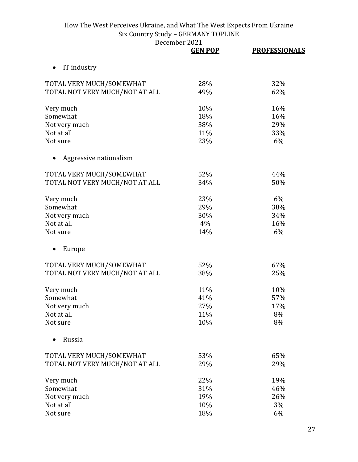|                                | <b>GEN POP</b> | <b>PROFESSIONALS</b> |
|--------------------------------|----------------|----------------------|
| IT industry<br>$\bullet$       |                |                      |
| TOTAL VERY MUCH/SOMEWHAT       | 28%            | 32%                  |
| TOTAL NOT VERY MUCH/NOT AT ALL | 49%            | 62%                  |
| Very much                      | 10%            | 16%                  |
| Somewhat                       | 18%            | 16%                  |
| Not very much                  | 38%            | 29%                  |
| Not at all                     | 11%            | 33%                  |
| Not sure                       | 23%            | 6%                   |
| Aggressive nationalism         |                |                      |
| TOTAL VERY MUCH/SOMEWHAT       | 52%            | 44%                  |
| TOTAL NOT VERY MUCH/NOT AT ALL | 34%            | 50%                  |
| Very much                      | 23%            | 6%                   |
| Somewhat                       | 29%            | 38%                  |
| Not very much                  | 30%            | 34%                  |
| Not at all                     | 4%             | 16%                  |
| Not sure                       | 14%            | 6%                   |
| Europe                         |                |                      |
| TOTAL VERY MUCH/SOMEWHAT       | 52%            | 67%                  |
| TOTAL NOT VERY MUCH/NOT AT ALL | 38%            | 25%                  |
| Very much                      | 11%            | 10%                  |
| Somewhat                       | 41%            | 57%                  |
| Not very much                  | 27%            | 17%                  |
| Not at all                     | 11%            | 8%                   |
| Not sure                       | 10%            | 8%                   |
| Russia                         |                |                      |
| TOTAL VERY MUCH/SOMEWHAT       | 53%            | 65%                  |
| TOTAL NOT VERY MUCH/NOT AT ALL | 29%            | 29%                  |
| Very much                      | 22%            | 19%                  |
| Somewhat                       | 31%            | 46%                  |
| Not very much                  | 19%            | 26%                  |
| Not at all                     | 10%            | 3%                   |
| Not sure                       | 18%            | 6%                   |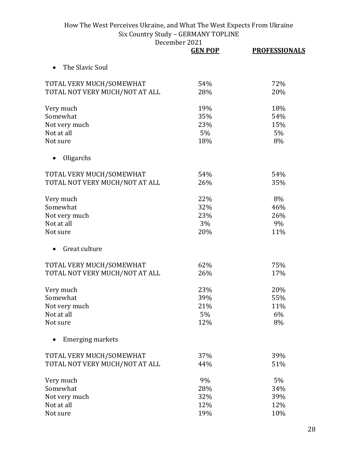|                                | <b>GEN POP</b> | <b>PROFESSIONALS</b> |
|--------------------------------|----------------|----------------------|
| The Slavic Soul                |                |                      |
| TOTAL VERY MUCH/SOMEWHAT       | 54%            | 72%                  |
| TOTAL NOT VERY MUCH/NOT AT ALL | 28%            | 20%                  |
| Very much                      | 19%            | 18%                  |
| Somewhat                       | 35%            | 54%                  |
| Not very much                  | 23%            | 15%                  |
| Not at all                     | 5%             | 5%                   |
| Not sure                       | 18%            | 8%                   |
| Oligarchs                      |                |                      |
| TOTAL VERY MUCH/SOMEWHAT       | 54%            | 54%                  |
| TOTAL NOT VERY MUCH/NOT AT ALL | 26%            | 35%                  |
| Very much                      | 22%            | 8%                   |
| Somewhat                       | 32%            | 46%                  |
| Not very much                  | 23%            | 26%                  |
| Not at all                     | 3%             | 9%                   |
| Not sure                       | 20%            | 11%                  |
| Great culture                  |                |                      |
| TOTAL VERY MUCH/SOMEWHAT       | 62%            | 75%                  |
| TOTAL NOT VERY MUCH/NOT AT ALL | 26%            | 17%                  |
| Very much                      | 23%            | 20%                  |
| Somewhat                       | 39%            | 55%                  |
| Not very much                  | 21%            | 11%                  |
| Not at all                     | 5%             | 6%                   |
| Not sure                       | 12%            | 8%                   |
| <b>Emerging markets</b>        |                |                      |
| TOTAL VERY MUCH/SOMEWHAT       | 37%            | 39%                  |
| TOTAL NOT VERY MUCH/NOT AT ALL | 44%            | 51%                  |
| Very much                      | 9%             | 5%                   |
| Somewhat                       | 28%            | 34%                  |
| Not very much                  | 32%            | 39%                  |
| Not at all                     | 12%            | 12%                  |
| Not sure                       | 19%            | 10%                  |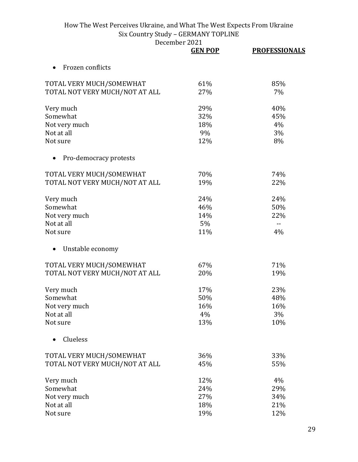|                                | <b>GEN POP</b> | <b>PROFESSIONALS</b> |
|--------------------------------|----------------|----------------------|
| Frozen conflicts               |                |                      |
| TOTAL VERY MUCH/SOMEWHAT       | 61%            | 85%                  |
| TOTAL NOT VERY MUCH/NOT AT ALL | 27%            | 7%                   |
| Very much                      | 29%            | 40%                  |
| Somewhat                       | 32%            | 45%                  |
| Not very much                  | 18%            | 4%                   |
| Not at all                     | 9%             | 3%                   |
| Not sure                       | 12%            | 8%                   |
| Pro-democracy protests         |                |                      |
| TOTAL VERY MUCH/SOMEWHAT       | 70%            | 74%                  |
| TOTAL NOT VERY MUCH/NOT AT ALL | 19%            | 22%                  |
| Very much                      | 24%            | 24%                  |
| Somewhat                       | 46%            | 50%                  |
| Not very much                  | 14%            | 22%                  |
| Not at all                     | 5%             | --                   |
| Not sure                       | 11%            | 4%                   |
| Unstable economy               |                |                      |
| TOTAL VERY MUCH/SOMEWHAT       | 67%            | 71%                  |
| TOTAL NOT VERY MUCH/NOT AT ALL | 20%            | 19%                  |
| Very much                      | 17%            | 23%                  |
| Somewhat                       | 50%            | 48%                  |
| Not very much                  | 16%            | 16%                  |
| Not at all                     | 4%             | 3%                   |
| Not sure                       | 13%            | 10%                  |
| Clueless                       |                |                      |
| TOTAL VERY MUCH/SOMEWHAT       | 36%            | 33%                  |
| TOTAL NOT VERY MUCH/NOT AT ALL | 45%            | 55%                  |
| Very much                      | 12%            | 4%                   |
| Somewhat                       | 24%            | 29%                  |
| Not very much                  | 27%            | 34%                  |
| Not at all                     | 18%            | 21%                  |
| Not sure                       | 19%            | 12%                  |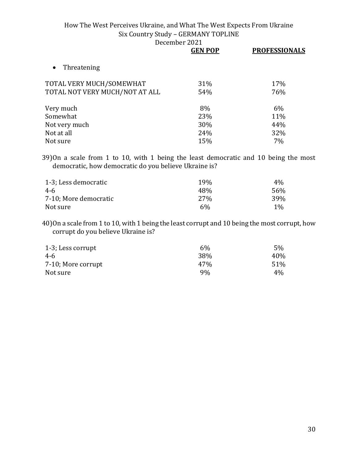|                                | <b>GEN POP</b> | <b>PROFESSIONALS</b> |
|--------------------------------|----------------|----------------------|
| Threatening                    |                |                      |
| TOTAL VERY MUCH/SOMEWHAT       | 31%            | 17%                  |
| TOTAL NOT VERY MUCH/NOT AT ALL | 54%            | 76%                  |
| Very much                      | 8%             | 6%                   |
| Somewhat                       | 23%            | 11%                  |
| Not very much                  | 30%            | 44%                  |
| Not at all                     | 24%            | 32%                  |
| Not sure                       | 15%            | 7%                   |

39)On a scale from 1 to 10, with 1 being the least democratic and 10 being the most democratic, how democratic do you believe Ukraine is?

| 1-3; Less democratic  | <b>19%</b>      | $4\%$ |
|-----------------------|-----------------|-------|
| 4-6                   | 48%             | 56%   |
| 7-10; More democratic | 27 <sub>%</sub> | 39%   |
| Not sure              | $6\%$           | $1\%$ |

40)On a scale from 1 to 10, with 1 being the least corrupt and 10 being the most corrupt, how corrupt do you believe Ukraine is?

| 1-3; Less corrupt  | $6\%$ | $5\%$ |
|--------------------|-------|-------|
| 4-6                | 38%   | 40%   |
| 7-10; More corrupt | 47%   | 51%   |
| Not sure           | 9%    | $4\%$ |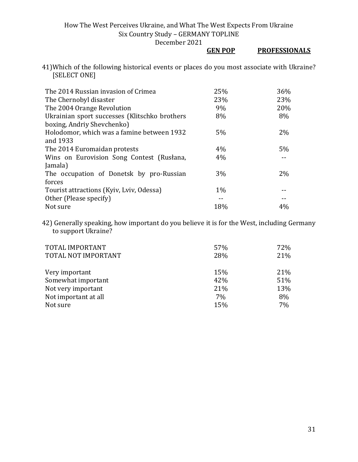December 2021

## **GEN POP PROFESSIONALS**

41)Which of the following historical events or places do you most associate with Ukraine? [SELECT ONE]

| The 2014 Russian invasion of Crimea           | 25%   | 36%   |
|-----------------------------------------------|-------|-------|
| The Chernobyl disaster                        | 23%   | 23%   |
| The 2004 Orange Revolution                    | 9%    | 20%   |
| Ukrainian sport successes (Klitschko brothers | 8%    | 8%    |
| boxing, Andriy Shevchenko)                    |       |       |
| Holodomor, which was a famine between 1932    | 5%    | $2\%$ |
| and 1933                                      |       |       |
| The 2014 Euromaidan protests                  | 4%    | 5%    |
| Wins on Eurovision Song Contest (Rusłana,     | 4%    |       |
| Jamala)                                       |       |       |
| The occupation of Donetsk by pro-Russian      | 3%    | 2%    |
| forces                                        |       |       |
| Tourist attractions (Kyiv, Lyiv, Odessa)      | $1\%$ |       |
| Other (Please specify)                        |       |       |
| Not sure                                      | 18%   | 4%    |

42) Generally speaking, how important do you believe it is for the West, including Germany to support Ukraine?

| TOTAL IMPORTANT      | 57% | 72% |
|----------------------|-----|-----|
| TOTAL NOT IMPORTANT  | 28% | 21% |
| Very important       | 15% | 21% |
| Somewhat important   | 42% | 51% |
| Not very important   | 21% | 13% |
| Not important at all | 7%  | 8%  |
| Not sure             | 15% | 7%  |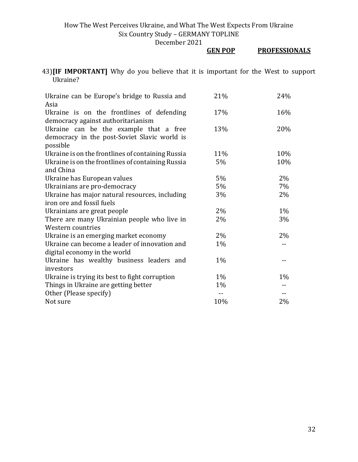December 2021

## **GEN POP PROFESSIONALS**

43)**[IF IMPORTANT]** Why do you believe that it is important for the West to support Ukraine?

| Ukraine can be Europe's bridge to Russia and      | 21%   | 24%   |
|---------------------------------------------------|-------|-------|
| Asia<br>Ukraine is on the frontlines of defending | 17%   | 16%   |
| democracy against authoritarianism                |       |       |
| Ukraine can be the example that a free            | 13%   | 20%   |
| democracy in the post-Soviet Slavic world is      |       |       |
| possible                                          |       |       |
| Ukraine is on the frontlines of containing Russia | 11%   | 10%   |
| Ukraine is on the frontlines of containing Russia | 5%    | 10%   |
| and China                                         |       |       |
| Ukraine has European values                       | $5\%$ | 2%    |
| Ukrainians are pro-democracy                      | 5%    | 7%    |
| Ukraine has major natural resources, including    | 3%    | 2%    |
| iron ore and fossil fuels                         |       |       |
| Ukrainians are great people                       | $2\%$ | $1\%$ |
| There are many Ukrainian people who live in       | 2%    | 3%    |
| Western countries                                 |       |       |
| Ukraine is an emerging market economy             | 2%    | 2%    |
| Ukraine can become a leader of innovation and     | 1%    | $-$   |
| digital economy in the world                      |       |       |
| Ukraine has wealthy business leaders and          | $1\%$ |       |
| investors                                         |       |       |
| Ukraine is trying its best to fight corruption    | $1\%$ | 1%    |
| Things in Ukraine are getting better              | 1%    |       |
| Other (Please specify)                            |       |       |
| Not sure                                          | 10%   | 2%    |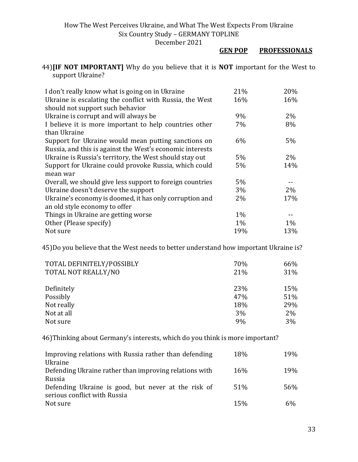#### **GEN POP PROFESSIONALS**

44)**[IF NOT IMPORTANT]** Why do you believe that it is **NOT** important for the West to support Ukraine?

| I don't really know what is going on in Ukraine           | 21%   | 20%   |
|-----------------------------------------------------------|-------|-------|
| Ukraine is escalating the conflict with Russia, the West  | 16%   | 16%   |
| should not support such behavior                          |       |       |
| Ukraine is corrupt and will always be                     | 9%    | $2\%$ |
| I believe it is more important to help countries other    | 7%    | 8%    |
| than Ukraine                                              |       |       |
| Support for Ukraine would mean putting sanctions on       | $6\%$ | 5%    |
| Russia, and this is against the West's economic interests |       |       |
| Ukraine is Russia's territory, the West should stay out   | 5%    | $2\%$ |
| Support for Ukraine could provoke Russia, which could     | 5%    | 14%   |
| mean war                                                  |       |       |
| Overall, we should give less support to foreign countries | 5%    |       |
| Ukraine doesn't deserve the support                       | 3%    | $2\%$ |
| Ukraine's economy is doomed, it has only corruption and   | $2\%$ | 17%   |
| an old style economy to offer                             |       |       |
| Things in Ukraine are getting worse                       | $1\%$ |       |
| Other (Please specify)                                    | $1\%$ | $1\%$ |
| Not sure                                                  | 19%   | 13%   |

45)Do you believe that the West needs to better understand how important Ukraine is?

| TOTAL DEFINITELY/POSSIBLY<br>TOTAL NOT REALLY/NO | 70%<br>21% | 66%<br>31% |
|--------------------------------------------------|------------|------------|
| Definitely                                       | 23%        | 15%        |
| Possibly                                         | 47%        | 51%        |
| Not really                                       | 18%        | 29%        |
| Not at all                                       | 3%         | 2%         |
| Not sure                                         | 9%         | 3%         |

46)Thinking about Germany's interests, which do you think is more important?

| Improving relations with Russia rather than defending  | 18%             | 19% |
|--------------------------------------------------------|-----------------|-----|
| Ukraine                                                |                 |     |
| Defending Ukraine rather than improving relations with | 16 <sub>%</sub> | 19% |
| Russia                                                 |                 |     |
| Defending Ukraine is good, but never at the risk of    | 51%             | 56% |
| serious conflict with Russia                           |                 |     |
| Not sure                                               | 15%             | 6%  |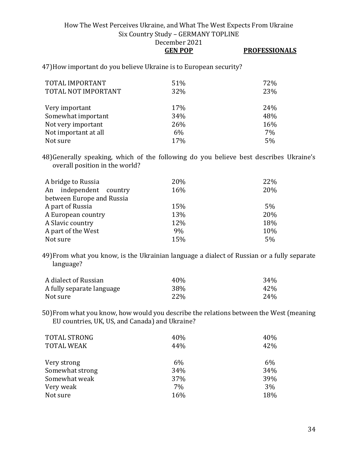**GEN POP PROFESSIONALS**

47)How important do you believe Ukraine is to European security?

| TOTAL IMPORTANT<br>TOTAL NOT IMPORTANT | 51%<br>32% | 72%<br>23% |
|----------------------------------------|------------|------------|
| Very important                         | 17%        | 24%        |
| Somewhat important                     | 34%        | 48%        |
| Not very important                     | 26%        | 16%        |
| Not important at all                   | 6%         | 7%         |
| Not sure                               | 17%        | 5%         |

48)Generally speaking, which of the following do you believe best describes Ukraine's overall position in the world?

| A bridge to Russia<br>An independent country | 20%<br>16% | 22%<br>20% |
|----------------------------------------------|------------|------------|
| between Europe and Russia                    |            |            |
| A part of Russia                             | 15%        | 5%         |
| A European country                           | 13%        | 20%        |
| A Slavic country                             | 12%        | 18%        |
| A part of the West                           | 9%         | 10%        |
| Not sure                                     | 15%        | 5%         |

49)From what you know, is the Ukrainian language a dialect of Russian or a fully separate language?

| A dialect of Russian      | 40\% | 34% |
|---------------------------|------|-----|
| A fully separate language | 38%  | 42% |
| Not sure                  | 22%  | 24% |

50)From what you know, how would you describe the relations between the West (meaning EU countries, UK, US, and Canada) and Ukraine?

| <b>TOTAL STRONG</b> | 40% | 40%   |
|---------------------|-----|-------|
| <b>TOTAL WEAK</b>   | 44% | 42%   |
|                     |     |       |
| Very strong         | 6%  | $6\%$ |
| Somewhat strong     | 34% | 34%   |
| Somewhat weak       | 37% | 39%   |
| Very weak           | 7%  | 3%    |
| Not sure            | 16% | 18%   |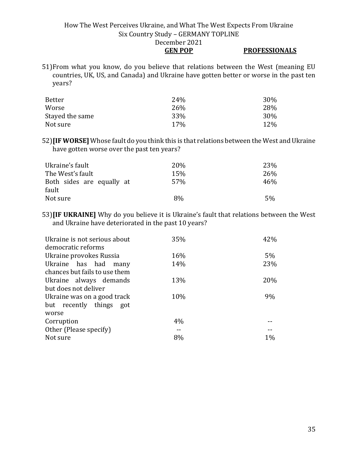## **GEN POP PROFESSIONALS**

51)From what you know, do you believe that relations between the West (meaning EU countries, UK, US, and Canada) and Ukraine have gotten better or worse in the past ten years?

| Better          | 24% | 30% |
|-----------------|-----|-----|
| Worse           | 26% | 28% |
| Stayed the same | 33% | 30% |
| Not sure        | 17% | 12% |

52)**[IF WORSE]** Whose fault do you think this is that relations between the West and Ukraine have gotten worse over the past ten years?

| Ukraine's fault                    | 20 <sub>%</sub> | 23% |
|------------------------------------|-----------------|-----|
| The West's fault                   | 15%             | 26% |
| Both sides are equally at<br>fault | 57%             | 46% |
| Not sure                           | 8%              | 5%  |

53)**[IF UKRAINE]** Why do you believe it is Ukraine's fault that relations between the West and Ukraine have deteriorated in the past 10 years?

| Ukraine is not serious about<br>democratic reforms | 35% | 42%   |
|----------------------------------------------------|-----|-------|
| Ukraine provokes Russia                            | 16% | $5\%$ |
| Ukraine has had many                               | 14% | 23%   |
| chances but fails to use them                      |     |       |
| Ukraine always demands                             | 13% | 20%   |
| but does not deliver                               |     |       |
| Ukraine was on a good track                        | 10% | 9%    |
| but recently things got                            |     |       |
| worse                                              |     |       |
| Corruption                                         | 4%  |       |
| Other (Please specify)                             |     |       |
| Not sure                                           | 8%  | $1\%$ |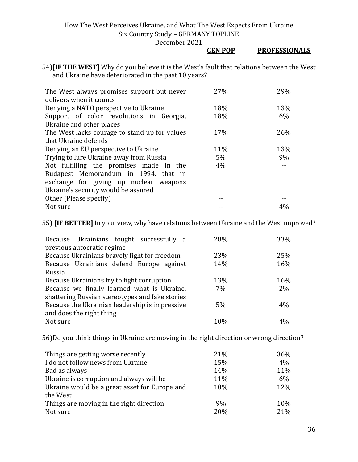December 2021

#### **GEN POP PROFESSIONALS**

54)**[IF THE WEST]** Why do you believe it is the West's fault that relations between the West and Ukraine have deteriorated in the past 10 years?

| The West always promises support but never    | 27% | 29% |
|-----------------------------------------------|-----|-----|
| delivers when it counts                       |     |     |
| Denying a NATO perspective to Ukraine         | 18% | 13% |
| Support of color revolutions in Georgia,      | 18% | 6%  |
| Ukraine and other places                      |     |     |
| The West lacks courage to stand up for values | 17% | 26% |
| that Ukraine defends                          |     |     |
| Denying an EU perspective to Ukraine          | 11% | 13% |
| Trying to lure Ukraine away from Russia       | 5%  | 9%  |
| Not fulfilling the promises made in the       | 4%  |     |
| Budapest Memorandum in 1994, that in          |     |     |
| exchange for giving up nuclear weapons        |     |     |
| Ukraine's security would be assured           |     |     |
| Other (Please specify)                        |     |     |
| Not sure                                      |     |     |

55) **[IF BETTER]**In your view, why have relations between Ukraine and the West improved?

| Because Ukrainians fought successfully a        | 28% | 33% |
|-------------------------------------------------|-----|-----|
| previous autocratic regime                      |     |     |
| Because Ukrainians bravely fight for freedom    | 23% | 25% |
| Because Ukrainians defend Europe against        | 14% | 16% |
| Russia                                          |     |     |
| Because Ukrainians try to fight corruption      | 13% | 16% |
| Because we finally learned what is Ukraine,     | 7%  | 2%  |
| shattering Russian stereotypes and fake stories |     |     |
| Because the Ukrainian leadership is impressive  | 5%  | 4%  |
| and does the right thing                        |     |     |
| Not sure                                        | 10% |     |

56)Do you think things in Ukraine are moving in the right direction or wrong direction?

| Things are getting worse recently             | 21% | 36% |
|-----------------------------------------------|-----|-----|
| I do not follow news from Ukraine             | 15% | 4%  |
| Bad as always                                 | 14% | 11% |
| Ukraine is corruption and always will be      | 11% | 6%  |
| Ukraine would be a great asset for Europe and | 10% | 12% |
| the West                                      |     |     |
| Things are moving in the right direction      | 9%  | 10% |
| Not sure                                      | 20% | 21% |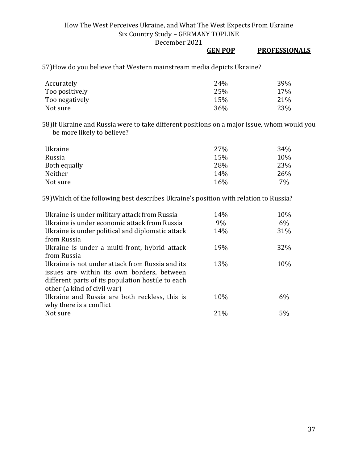December 2021

## **GEN POP PROFESSIONALS**

57)How do you believe that Western mainstream media depicts Ukraine?

| Accurately     | 24% | 39% |
|----------------|-----|-----|
| Too positively | 25% | 17% |
| Too negatively | 15% | 21% |
| Not sure       | 36% | 23% |

58)If Ukraine and Russia were to take different positions on a major issue, whom would you be more likely to believe?

| Ukraine      | 27% | 34% |
|--------------|-----|-----|
| Russia       | 15% | 10% |
| Both equally | 28% | 23% |
| Neither      | 14% | 26% |
| Not sure     | 16% | 7%  |

59)Which of the following best describes Ukraine's position with relation to Russia?

| 14%  | 10%   |
|------|-------|
| 9%   | 6%    |
| 14%  | 31%   |
|      |       |
| 19%  | 32%   |
|      |       |
| 13%  | 10%   |
|      |       |
|      |       |
|      |       |
| 10%  | $6\%$ |
|      |       |
| 21\% | 5%    |
|      |       |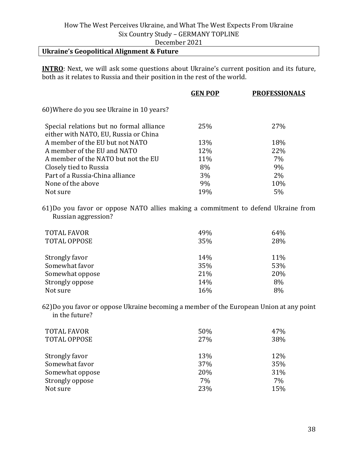## **Ukraine's Geopolitical Alignment & Future**

**INTRO**: Next, we will ask some questions about Ukraine's current position and its future, both as it relates to Russia and their position in the rest of the world.

|                                           | <b>GEN POP</b> | <b>PROFESSIONALS</b> |
|-------------------------------------------|----------------|----------------------|
| 60) Where do you see Ukraine in 10 years? |                |                      |
| Special relations but no formal alliance  | 25%            | 27%                  |
| either with NATO, EU, Russia or China     |                |                      |
| A member of the EU but not NATO           | 13%            | 18%                  |
| A member of the EU and NATO               | 12%            | 22%                  |
| A member of the NATO but not the EU       | 11%            | 7%                   |
| Closely tied to Russia                    | 8%             | 9%                   |
| Part of a Russia-China alliance           | 3%             | 2%                   |
| None of the above                         | 9%             | 10%                  |
| Not sure                                  | 19%            | 5%                   |
|                                           |                |                      |

61)Do you favor or oppose NATO allies making a commitment to defend Ukraine from Russian aggression?

| <b>TOTAL FAVOR</b><br><b>TOTAL OPPOSE</b> | 49%<br>35% | 64%<br>28% |
|-------------------------------------------|------------|------------|
| Strongly favor                            | 14%        | 11%        |
| Somewhat favor                            | 35%        | 53%        |
| Somewhat oppose                           | 21%        | 20%        |
| Strongly oppose                           | 14%        | 8%         |
| Not sure                                  | 16%        | 8%         |

62)Do you favor or oppose Ukraine becoming a member of the European Union at any point in the future?

| <b>TOTAL FAVOR</b>  | 50% | 47% |
|---------------------|-----|-----|
| <b>TOTAL OPPOSE</b> | 27% | 38% |
| Strongly favor      | 13% | 12% |
| Somewhat favor      | 37% | 35% |
| Somewhat oppose     | 20% | 31% |
| Strongly oppose     | 7%  | 7%  |
| Not sure            | 23% | 15% |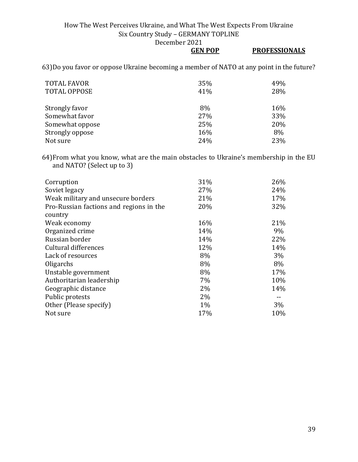December 2021

|                                                                                          | <b>GEN POP</b> | <b>PROFESSIONALS</b> |
|------------------------------------------------------------------------------------------|----------------|----------------------|
| 63) Do you favor or oppose Ukraine becoming a member of NATO at any point in the future? |                |                      |

| <b>TOTAL FAVOR</b><br><b>TOTAL OPPOSE</b> | 35%<br>41% | 49%<br>28% |
|-------------------------------------------|------------|------------|
| Strongly favor                            | 8%         | 16%        |
| Somewhat favor                            | 27%        | 33%        |
| Somewhat oppose                           | 25%        | 20%        |
| Strongly oppose                           | 16%        | 8%         |
| Not sure                                  | 24%        | 23%        |

64)From what you know, what are the main obstacles to Ukraine's membership in the EU and NATO? (Select up to 3)

| Corruption                              | 31% | 26%   |
|-----------------------------------------|-----|-------|
| Soviet legacy                           | 27% | 24%   |
| Weak military and unsecure borders      | 21% | 17%   |
| Pro-Russian factions and regions in the | 20% | 32%   |
| country                                 |     |       |
| Weak economy                            | 16% | 21%   |
| Organized crime                         | 14% | 9%    |
| Russian border                          | 14% | 22%   |
| Cultural differences                    | 12% | 14%   |
| Lack of resources                       | 8%  | $3\%$ |
| Oligarchs                               | 8%  | 8%    |
| Unstable government                     | 8%  | 17%   |
| Authoritarian leadership                | 7%  | 10%   |
| Geographic distance                     | 2%  | 14%   |
| Public protests                         | 2%  |       |
| Other (Please specify)                  | 1%  | 3%    |
| Not sure                                | 17% | 10%   |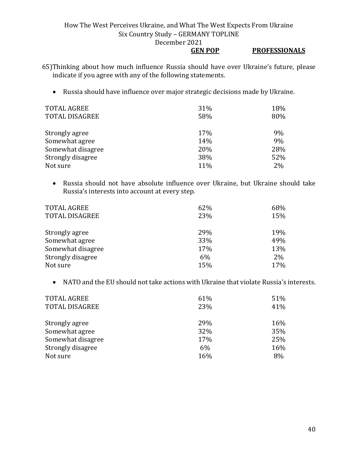#### **GEN POP PROFESSIONALS**

65)Thinking about how much influence Russia should have over Ukraine's future, please indicate if you agree with any of the following statements.

• Russia should have influence over major strategic decisions made by Ukraine.

| <b>TOTAL AGREE</b>    | 31% | 18% |
|-----------------------|-----|-----|
| <b>TOTAL DISAGREE</b> | 58% | 80% |
|                       |     |     |
| Strongly agree        | 17% | 9%  |
| Somewhat agree        | 14% | 9%  |
| Somewhat disagree     | 20% | 28% |
| Strongly disagree     | 38% | 52% |
| Not sure              | 11% | 2%  |

• Russia should not have absolute influence over Ukraine, but Ukraine should take Russia's interests into account at every step.

| <b>TOTAL AGREE</b><br><b>TOTAL DISAGREE</b> | 62%<br>23% | 68%<br>15% |
|---------------------------------------------|------------|------------|
| Strongly agree                              | 29%        | 19%        |
| Somewhat agree                              | 33%        | 49%        |
| Somewhat disagree                           | 17%        | 13%        |
| Strongly disagree                           | 6%         | $2\%$      |
| Not sure                                    | 15%        | 17%        |

• NATO and the EU should not take actions with Ukraine that violate Russia's interests.

| <b>TOTAL AGREE</b>    | 61% | 51% |
|-----------------------|-----|-----|
| <b>TOTAL DISAGREE</b> | 23% | 41% |
|                       |     |     |
| Strongly agree        | 29% | 16% |
| Somewhat agree        | 32% | 35% |
| Somewhat disagree     | 17% | 25% |
| Strongly disagree     | 6%  | 16% |
| Not sure              | 16% | 8%  |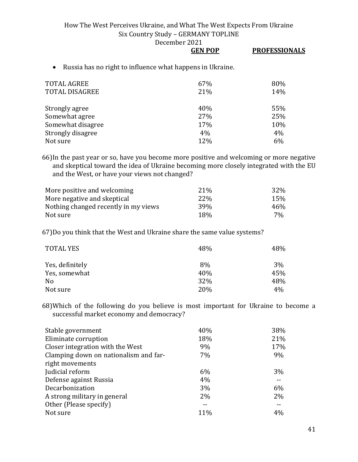December 2021

# **GEN POP PROFESSIONALS**

• Russia has no right to influence what happens in Ukraine.

| <b>TOTAL AGREE</b><br><b>TOTAL DISAGREE</b> | 67%<br>21% | 80%<br>14% |
|---------------------------------------------|------------|------------|
| Strongly agree                              | 40%        | 55%        |
| Somewhat agree                              | 27%        | 25%        |
| Somewhat disagree                           | 17%        | 10%        |
| Strongly disagree                           | 4%         | 4%         |
| Not sure                                    | 12%        | 6%         |

66)In the past year or so, have you become more positive and welcoming or more negative and skeptical toward the idea of Ukraine becoming more closely integrated with the EU and the West, or have your views not changed?

| More positive and welcoming          | 21 <sup>%</sup> | 32% |
|--------------------------------------|-----------------|-----|
| More negative and skeptical          | <b>22%</b>      | 15% |
| Nothing changed recently in my views | 39 <sub>%</sub> | 46% |
| Not sure                             | 18%             | 7%  |

67)Do you think that the West and Ukraine share the same value systems?

| <b>TOTAL YES</b> | 48% | 48% |
|------------------|-----|-----|
| Yes, definitely  | 8%  | 3%  |
| Yes, somewhat    | 40% | 45% |
| No               | 32% | 48% |
| Not sure         | 20% | 4%  |

68)Which of the following do you believe is most important for Ukraine to become a successful market economy and democracy?

| 40%   | 38%   |
|-------|-------|
| 18%   | 21%   |
| 9%    | 17%   |
| 7%    | 9%    |
|       |       |
| 6%    | $3\%$ |
| 4%    |       |
| 3%    | $6\%$ |
| $2\%$ | 2%    |
|       |       |
| 11%   | $4\%$ |
|       |       |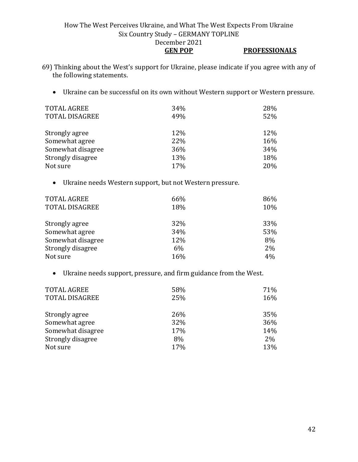#### How The West Perceives Ukraine, and What The West Expects From Ukraine Six Country Study – GERMANY TOPLINE December 2021 **GEN POP PROFESSIONALS**

- 69) Thinking about the West's support for Ukraine, please indicate if you agree with any of the following statements.
	- Ukraine can be successful on its own without Western support or Western pressure.

| <b>TOTAL AGREE</b>    | 34% | 28% |
|-----------------------|-----|-----|
| <b>TOTAL DISAGREE</b> | 49% | 52% |
| Strongly agree        | 12% | 12% |
| Somewhat agree        | 22% | 16% |
| Somewhat disagree     | 36% | 34% |
| Strongly disagree     | 13% | 18% |
| Not sure              | 17% | 20% |

• Ukraine needs Western support, but not Western pressure.

| <b>TOTAL AGREE</b><br><b>TOTAL DISAGREE</b> | 66%<br>18% | 86%<br>10% |
|---------------------------------------------|------------|------------|
| Strongly agree                              | 32%        | 33%        |
| Somewhat agree                              | 34%        | 53%        |
| Somewhat disagree                           | 12%        | 8%         |
| Strongly disagree                           | 6%         | 2%         |
| Not sure                                    | 16%        | 4%         |

• Ukraine needs support, pressure, and firm guidance from the West.

| <b>TOTAL AGREE</b>    | 58% | 71% |
|-----------------------|-----|-----|
| <b>TOTAL DISAGREE</b> | 25% | 16% |
| Strongly agree        | 26% | 35% |
| Somewhat agree        | 32% | 36% |
| Somewhat disagree     | 17% | 14% |
| Strongly disagree     | 8%  | 2%  |
| Not sure              | 17% | 13% |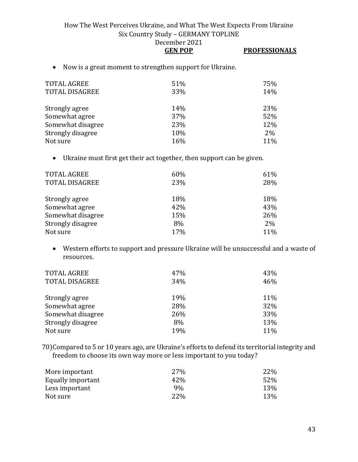• Now is a great moment to strengthen support for Ukraine.

| <b>TOTAL AGREE</b><br><b>TOTAL DISAGREE</b> | 51%<br>33% | 75%<br>14% |
|---------------------------------------------|------------|------------|
| Strongly agree                              | 14%        | 23%        |
| Somewhat agree                              | 37%        | 52%        |
| Somewhat disagree                           | 23%        | 12%        |
| Strongly disagree                           | 10%        | $2\%$      |
| Not sure                                    | 16%        | 11%        |

• Ukraine must first get their act together, then support can be given.

| <b>TOTAL AGREE</b>    | 60% | 61% |
|-----------------------|-----|-----|
| <b>TOTAL DISAGREE</b> | 23% | 28% |
|                       |     |     |
| Strongly agree        | 18% | 18% |
| Somewhat agree        | 42% | 43% |
| Somewhat disagree     | 15% | 26% |
| Strongly disagree     | 8%  | 2%  |
| Not sure              | 17% | 11% |

• Western efforts to support and pressure Ukraine will be unsuccessful and a waste of resources.

| <b>TOTAL AGREE</b><br><b>TOTAL DISAGREE</b> | 47%<br>34% | 43%<br>46% |
|---------------------------------------------|------------|------------|
| Strongly agree                              | 19%        | 11%        |
| Somewhat agree                              | 28%        | 32%        |
| Somewhat disagree                           | 26%        | 33%        |
| Strongly disagree                           | 8%         | 13%        |
| Not sure                                    | 19%        | 11%        |

70)Compared to 5 or 10 years ago, are Ukraine's efforts to defend its territorial integrity and freedom to choose its own way more or less important to you today?

| More important    | 27% | 22% |
|-------------------|-----|-----|
| Equally important | 42% | 52% |
| Less important    | 9%  | 13% |
| Not sure          | 22% | 13% |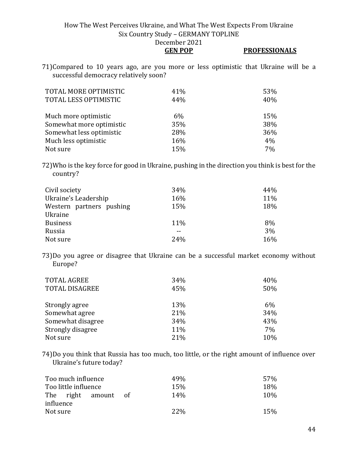**GEN POP PROFESSIONALS**

71)Compared to 10 years ago, are you more or less optimistic that Ukraine will be a successful democracy relatively soon?

| TOTAL MORE OPTIMISTIC<br>TOTAL LESS OPTIMISTIC | 41%<br>44% | 53%<br>40% |
|------------------------------------------------|------------|------------|
| Much more optimistic                           | 6%         | 15%        |
| Somewhat more optimistic                       | 35%        | 38%        |
| Somewhat less optimistic                       | 28%        | 36%        |
| Much less optimistic                           | 16%        | 4%         |
| Not sure                                       | 15%        | 7%         |

72)Who is the key force for good in Ukraine, pushing in the direction you think is best for the country?

| Civil society            | 34% | 44% |
|--------------------------|-----|-----|
| Ukraine's Leadership     | 16% | 11% |
| Western partners pushing | 15% | 18% |
| Ukraine                  |     |     |
| <b>Business</b>          | 11% | 8%  |
| Russia                   |     | 3%  |
| Not sure                 | 24% | 16% |

73)Do you agree or disagree that Ukraine can be a successful market economy without Europe?

| <b>TOTAL AGREE</b>    | 34% | 40% |
|-----------------------|-----|-----|
| <b>TOTAL DISAGREE</b> | 45% | 50% |
|                       |     |     |
| Strongly agree        | 13% | 6%  |
| Somewhat agree        | 21% | 34% |
| Somewhat disagree     | 34% | 43% |
| Strongly disagree     | 11% | 7%  |
| Not sure              | 21% | 10% |

74)Do you think that Russia has too much, too little, or the right amount of influence over Ukraine's future today?

| Too much influence   | 49 <sub>%</sub> | 57 <sub>%</sub> |
|----------------------|-----------------|-----------------|
| Too little influence | 15%             | 18%             |
| The right amount     | 14%<br>— ∩f     | 10 <sub>%</sub> |
| influence            |                 |                 |
| Not sure             | 22\%            | 15%             |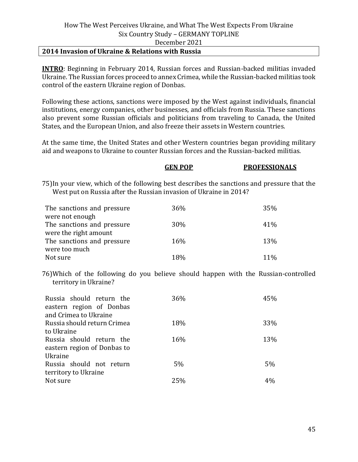#### **2014 Invasion of Ukraine & Relations with Russia**

**INTRO**: Beginning in February 2014, Russian forces and Russian-backed militias invaded Ukraine. The Russian forces proceed to annex Crimea, while the Russian-backed militias took control of the eastern Ukraine region of Donbas.

Following these actions, sanctions were imposed by the West against individuals, financial institutions, energy companies, other businesses, and officials from Russia. These sanctions also prevent some Russian officials and politicians from traveling to Canada, the United States, and the European Union, and also freeze their assets in Western countries.

At the same time, the United States and other Western countries began providing military aid and weapons to Ukraine to counter Russian forces and the Russian-backed militias.

#### **GEN POP PROFESSIONALS**

75)In your view, which of the following best describes the sanctions and pressure that the West put on Russia after the Russian invasion of Ukraine in 2014?

| The sanctions and pressure | 36% | 35% |
|----------------------------|-----|-----|
| were not enough            |     |     |
| The sanctions and pressure | 30% | 41% |
| were the right amount      |     |     |
| The sanctions and pressure | 16% | 13% |
| were too much              |     |     |
| Not sure                   | 18% | 11% |

76)Which of the following do you believe should happen with the Russian-controlled territory in Ukraine?

| Russia should return the<br>eastern region of Donbas<br>and Crimea to Ukraine | 36%   | 45% |
|-------------------------------------------------------------------------------|-------|-----|
| Russia should return Crimea                                                   | 18%   | 33% |
| to Ukraine                                                                    |       |     |
| Russia should return the<br>eastern region of Donbas to                       | 16%   | 13% |
| Ukraine                                                                       |       |     |
| Russia should not return                                                      | $5\%$ | 5%  |
| territory to Ukraine                                                          |       |     |
| Not sure                                                                      | 25%   | 4%  |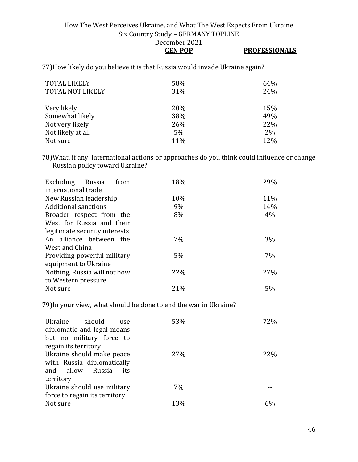**GEN POP PROFESSIONALS**

77)How likely do you believe it is that Russia would invade Ukraine again?

| 58%<br>31% | 64%<br>24% |
|------------|------------|
| 20%        | 15%        |
| 38%        | 49%        |
| 26%        | 22%        |
| 5%         | 2%         |
| 11%        | 12%        |
|            |            |

78)What, if any, international actions or approaches do you think could influence or change Russian policy toward Ukraine?

| 11% |
|-----|
| 14% |
| 4%  |
|     |
|     |
| 3%  |
|     |
| 7%  |
|     |
| 27% |
|     |
| 5%  |
|     |

79)In your view, what should be done to end the war in Ukraine?

| Ukraine should<br>use<br>diplomatic and legal means<br>but no military force to<br>regain its territory | 53% | 72% |
|---------------------------------------------------------------------------------------------------------|-----|-----|
| Ukraine should make peace<br>with Russia diplomatically<br>and allow<br>Russia<br>its<br>territory      | 27% | 22% |
| Ukraine should use military<br>force to regain its territory                                            | 7%  |     |
| Not sure                                                                                                | 13% | 6%  |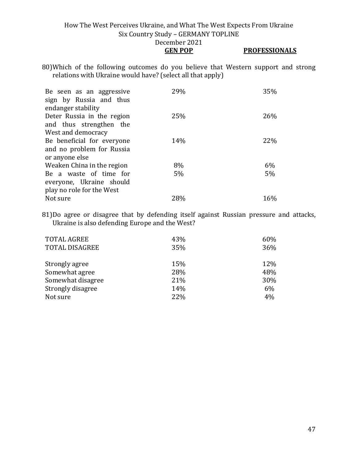**GEN POP PROFESSIONALS**

80)Which of the following outcomes do you believe that Western support and strong relations with Ukraine would have? (select all that apply)

| Be seen as an aggressive<br>sign by Russia and thus<br>endanger stability | 29% | 35% |
|---------------------------------------------------------------------------|-----|-----|
| Deter Russia in the region<br>and thus strengthen the                     | 25% | 26% |
| West and democracy                                                        |     |     |
| Be beneficial for everyone                                                | 14% | 22% |
| and no problem for Russia                                                 |     |     |
| or anyone else                                                            |     |     |
| Weaken China in the region                                                | 8%  | 6%  |
| Be a waste of time for                                                    | 5%  | 5%  |
| everyone, Ukraine should                                                  |     |     |
| play no role for the West                                                 |     |     |
| Not sure                                                                  | 28% | 16% |

81)Do agree or disagree that by defending itself against Russian pressure and attacks, Ukraine is also defending Europe and the West?

| <b>TOTAL AGREE</b>    | 43% | 60% |
|-----------------------|-----|-----|
| <b>TOTAL DISAGREE</b> | 35% | 36% |
| Strongly agree        | 15% | 12% |
| Somewhat agree        | 28% | 48% |
| Somewhat disagree     | 21% | 30% |
| Strongly disagree     | 14% | 6%  |
| Not sure              | 22% | 4%  |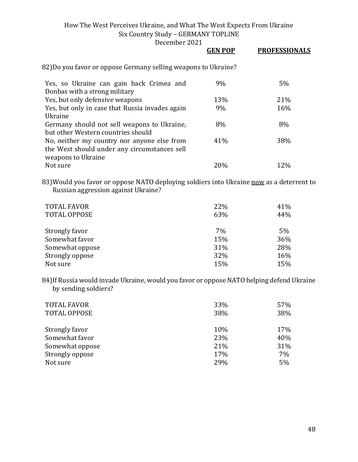December 2021

|                                                                                                                   | GEN POP | <b>PROFESSIONALS</b> |
|-------------------------------------------------------------------------------------------------------------------|---------|----------------------|
| 82)Do you favor or oppose Germany selling weapons to Ukraine?                                                     |         |                      |
| Yes, so Ukraine can gain back Crimea and<br>Donbas with a strong military                                         | 9%      | 5%                   |
| Yes, but only defensive weapons                                                                                   | 13%     | 21%                  |
| Yes, but only in case that Russia invades again<br>Ukraine                                                        | 9%      | 16%                  |
| Germany should not sell weapons to Ukraine,<br>but other Western countries should                                 | 8%      | 8%                   |
| No, neither my country nor anyone else from<br>the West should under any circumstances sell<br>weapons to Ukraine | 41%     | 38%                  |
| Not sure                                                                                                          | 20%     | 12%                  |

83) Would you favor or oppose NATO deploying soldiers into Ukraine now as a deterrent to Russian aggression against Ukraine?

| <b>TOTAL FAVOR</b><br><b>TOTAL OPPOSE</b> | 22%<br>63% | 41%<br>44% |
|-------------------------------------------|------------|------------|
| Strongly favor                            | 7%         | 5%         |
| Somewhat favor                            | 15%        | 36%        |
| Somewhat oppose                           | 31%        | 28%        |
| Strongly oppose                           | 32%        | 16%        |
| Not sure                                  | 15%        | 15%        |

84)If Russia would invade Ukraine, would you favor or oppose NATO helping defend Ukraine by sending soldiers?

| <b>TOTAL FAVOR</b><br><b>TOTAL OPPOSE</b> | 33%<br>38% | 57%<br>38% |
|-------------------------------------------|------------|------------|
| Strongly favor                            | 10%        | 17%        |
| Somewhat favor                            | 23%        | 40%        |
| Somewhat oppose                           | 21%        | 31%        |
| Strongly oppose                           | 17%        | 7%         |
| Not sure                                  | 29%        | 5%         |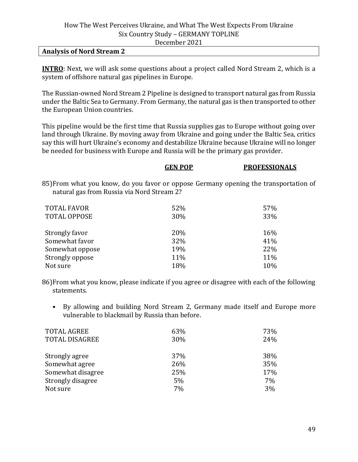#### **Analysis of Nord Stream 2**

**INTRO**: Next, we will ask some questions about a project called Nord Stream 2, which is a system of offshore natural gas pipelines in Europe.

The Russian-owned Nord Stream 2 Pipeline is designed to transport natural gas from Russia under the Baltic Sea to Germany. From Germany, the natural gas is then transported to other the European Union countries.

This pipeline would be the first time that Russia supplies gas to Europe without going over land through Ukraine. By moving away from Ukraine and going under the Baltic Sea, critics say this will hurt Ukraine's economy and destabilize Ukraine because Ukraine will no longer be needed for business with Europe and Russia will be the primary gas provider.

|                                            | <b>GEN POP</b> | <b>PROFESSIONALS</b>                                                                 |
|--------------------------------------------|----------------|--------------------------------------------------------------------------------------|
| natural gas from Russia via Nord Stream 2? |                | 85) From what you know, do you favor or oppose Germany opening the transportation of |
| <b>TOTAL FAVOR</b>                         | 52%            | 57%                                                                                  |
| <b>TOTAL OPPOSE</b>                        | 30%            | 33%                                                                                  |
| Strongly favor                             | 20%            | 16%                                                                                  |
| Somewhat favor                             | 32%            | 41%                                                                                  |
| Somewhat oppose                            | 19%            | 22%                                                                                  |
| Strongly oppose                            | 11%            | 11%                                                                                  |
| Not sure                                   | 18%            | 10%                                                                                  |

86)From what you know, please indicate if you agree or disagree with each of the following statements.

• By allowing and building Nord Stream 2, Germany made itself and Europe more vulnerable to blackmail by Russia than before.

| 63% | 73% |
|-----|-----|
| 30% | 24% |
| 37% | 38% |
| 26% | 35% |
| 25% | 17% |
| 5%  | 7%  |
| 7%  | 3%  |
|     |     |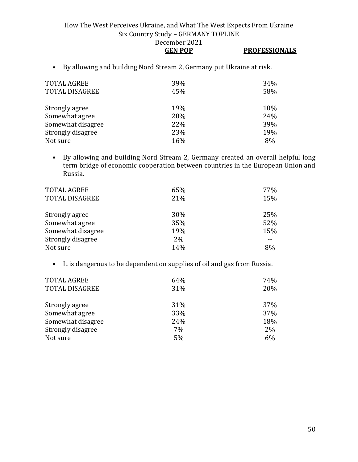## **GEN POP PROFESSIONALS**

• By allowing and building Nord Stream 2, Germany put Ukraine at risk.

| 39%<br>45% | 34%<br>58% |
|------------|------------|
| 19%        | 10%        |
| 20%        | 24%        |
| 22%        | 39%        |
| 23%        | 19%        |
| 16%        | 8%         |
|            |            |

• By allowing and building Nord Stream 2, Germany created an overall helpful long term bridge of economic cooperation between countries in the European Union and Russia.

| 65% | 77% |
|-----|-----|
| 21% | 15% |
|     |     |
|     | 25% |
| 35% | 52% |
| 19% | 15% |
| 2%  |     |
| 14% | 8%  |
|     | 30% |

• It is dangerous to be dependent on supplies of oil and gas from Russia.

| <b>TOTAL AGREE</b>    | 64% | 74%        |
|-----------------------|-----|------------|
| <b>TOTAL DISAGREE</b> | 31% | 20%        |
|                       |     |            |
| Strongly agree        | 31% | <b>37%</b> |
| Somewhat agree        | 33% | 37%        |
| Somewhat disagree     | 24% | 18%        |
| Strongly disagree     | 7%  | 2%         |
| Not sure              | 5%  | 6%         |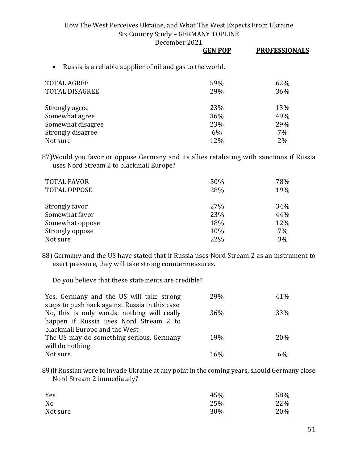December 2021

|                                                                         | <b>GEN POP</b> | <b>PROFESSIONALS</b> |
|-------------------------------------------------------------------------|----------------|----------------------|
| Russia is a reliable supplier of oil and gas to the world.<br>$\bullet$ |                |                      |
| TOTAL AGREE                                                             | 59%            | 62%                  |
| TOTAL DISAGREE                                                          | 29%            | 36%                  |
| Strongly agree                                                          | 23%            | 13%                  |
| Somewhat agree                                                          | 36%            | 49%                  |
| Somewhat disagree                                                       | 23%            | 29%                  |
| Strongly disagree                                                       | 6%             | 7%                   |
| Not sure                                                                | 12%            | 2%                   |

87)Would you favor or oppose Germany and its allies retaliating with sanctions if Russia uses Nord Stream 2 to blackmail Europe?

| <b>TOTAL FAVOR</b><br><b>TOTAL OPPOSE</b> | 50%<br>28% | 78%<br>19% |
|-------------------------------------------|------------|------------|
| Strongly favor                            | 27%        | 34%        |
| Somewhat favor                            | 23%        | 44%        |
| Somewhat oppose                           | 18%        | 12%        |
| Strongly oppose                           | 10%        | 7%         |
| Not sure                                  | 22%        | 3%         |

88) Germany and the US have stated that if Russia uses Nord Stream 2 as an instrument to exert pressure, they will take strong countermeasures.

Do you believe that these statements are credible?

| Yes, Germany and the US will take strong       | 29%        | 41% |
|------------------------------------------------|------------|-----|
| steps to push back against Russia in this case |            |     |
| No, this is only words, nothing will really    | 36%        | 33% |
| happen if Russia uses Nord Stream 2 to         |            |     |
| blackmail Europe and the West                  |            |     |
| The US may do something serious, Germany       | <b>19%</b> | 20% |
| will do nothing                                |            |     |
| Not sure                                       | 16%        | 6%  |

89)If Russian were to invade Ukraine at any point in the coming years, should Germany close Nord Stream 2 immediately?

| Yes      | 45% | 58% |
|----------|-----|-----|
| No       | 25% | 22% |
| Not sure | 30% | 20% |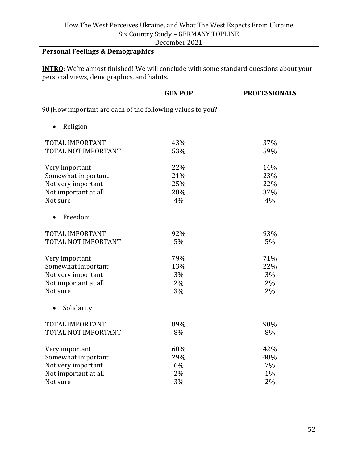December 2021

# **Personal Feelings & Demographics**

**INTRO**: We're almost finished! We will conclude with some standard questions about your personal views, demographics, and habits.

|                                                            | <b>GEN POP</b> | <b>PROFESSIONALS</b> |
|------------------------------------------------------------|----------------|----------------------|
| 90) How important are each of the following values to you? |                |                      |
| Religion                                                   |                |                      |
| TOTAL IMPORTANT                                            | 43%            | 37%                  |
| TOTAL NOT IMPORTANT                                        | 53%            | 59%                  |
| Very important                                             | 22%            | 14%                  |
| Somewhat important                                         | 21%            | 23%                  |
| Not very important                                         | 25%            | 22%                  |
| Not important at all                                       | 28%            | 37%                  |
| Not sure                                                   | 4%             | 4%                   |
| Freedom<br>$\bullet$                                       |                |                      |
| TOTAL IMPORTANT                                            | 92%            | 93%                  |
| TOTAL NOT IMPORTANT                                        | 5%             | 5%                   |
| Very important                                             | 79%            | 71%                  |
| Somewhat important                                         | 13%            | 22%                  |
| Not very important                                         | 3%             | 3%                   |
| Not important at all                                       | 2%             | 2%                   |
| Not sure                                                   | 3%             | 2%                   |
| Solidarity<br>$\bullet$                                    |                |                      |
| TOTAL IMPORTANT                                            | 89%            | 90%                  |
| TOTAL NOT IMPORTANT                                        | 8%             | 8%                   |
| Very important                                             | 60%            | 42%                  |
| Somewhat important                                         | 29%            | 48%                  |
| Not very important                                         | 6%             | 7%                   |
| Not important at all                                       | 2%             | 1%                   |
| Not sure                                                   | 3%             | 2%                   |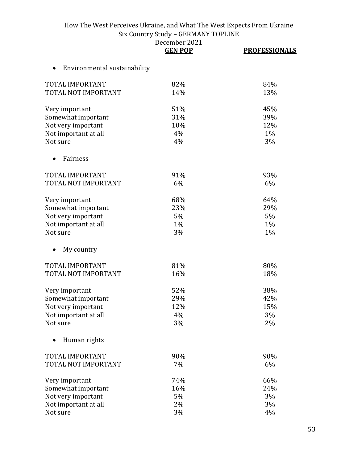|                                           | December 2021<br><b>GEN POP</b> | <b>PROFESSIONALS</b> |
|-------------------------------------------|---------------------------------|----------------------|
| Environmental sustainability<br>$\bullet$ |                                 |                      |
| TOTAL IMPORTANT                           | 82%                             | 84%                  |

| TOTAL NOT IMPORTANT  | 14% | 13% |
|----------------------|-----|-----|
| Very important       | 51% | 45% |
| Somewhat important   | 31% | 39% |
| Not very important   | 10% | 12% |
| Not important at all | 4%  | 1%  |
| Not sure             | 4%  | 3%  |
| Fairness             |     |     |
| TOTAL IMPORTANT      | 91% | 93% |
| TOTAL NOT IMPORTANT  | 6%  | 6%  |
| Very important       | 68% | 64% |
| Somewhat important   | 23% | 29% |
| Not very important   | 5%  | 5%  |
| Not important at all | 1%  | 1%  |
| Not sure             | 3%  | 1%  |
| My country           |     |     |
| TOTAL IMPORTANT      | 81% | 80% |
| TOTAL NOT IMPORTANT  | 16% | 18% |
| Very important       | 52% | 38% |
| Somewhat important   | 29% | 42% |
| Not very important   | 12% | 15% |
| Not important at all | 4%  | 3%  |
| Not sure             | 3%  | 2%  |
| Human rights         |     |     |
| TOTAL IMPORTANT      | 90% | 90% |
| TOTAL NOT IMPORTANT  | 7%  | 6%  |
| Very important       | 74% | 66% |
| Somewhat important   | 16% | 24% |
| Not very important   | 5%  | 3%  |
| Not important at all | 2%  | 3%  |
| Not sure             | 3%  | 4%  |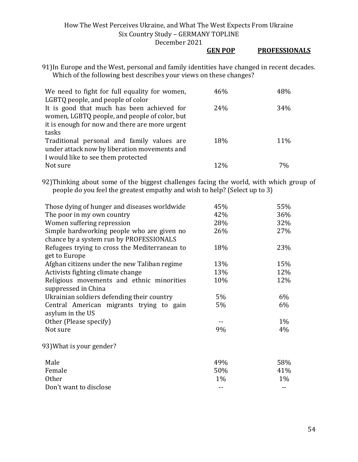#### **GEN POP PROFESSIONALS**

91)In Europe and the West, personal and family identities have changed in recent decades. Which of the following best describes your views on these changes?

| We need to fight for full equality for women,  | 46% | 48% |
|------------------------------------------------|-----|-----|
| LGBTQ people, and people of color              |     |     |
| It is good that much has been achieved for     | 24% | 34% |
| women, LGBTQ people, and people of color, but  |     |     |
| it is enough for now and there are more urgent |     |     |
| tasks                                          |     |     |
| Traditional personal and family values are     | 18% | 11% |
| under attack now by liberation movements and   |     |     |
| I would like to see them protected             |     |     |
| Not sure                                       | 12% | 7%  |

92)Thinking about some of the biggest challenges facing the world, with which group of people do you feel the greatest empathy and wish to help? (Select up to 3)

| Those dying of hunger and diseases worldwide                                          | 45%   | 55%   |
|---------------------------------------------------------------------------------------|-------|-------|
| The poor in my own country                                                            | 42%   | 36%   |
| Women suffering repression                                                            | 28%   | 32%   |
| Simple hardworking people who are given no<br>chance by a system run by PROFESSIONALS | 26%   | 27%   |
| Refugees trying to cross the Mediterranean to<br>get to Europe                        | 18%   | 23%   |
| Afghan citizens under the new Taliban regime                                          | 13%   | 15%   |
| Activists fighting climate change                                                     | 13%   | 12%   |
| Religious movements and ethnic minorities<br>suppressed in China                      | 10%   | 12%   |
| Ukrainian soldiers defending their country                                            | 5%    | $6\%$ |
| Central American migrants trying to gain<br>asylum in the US                          | 5%    | 6%    |
| Other (Please specify)                                                                |       | $1\%$ |
| Not sure                                                                              | 9%    | 4%    |
| 93) What is your gender?                                                              |       |       |
| Male                                                                                  | 49%   | 58%   |
| Female                                                                                | 50%   | 41%   |
| <b>Other</b>                                                                          | $1\%$ | $1\%$ |
| Don't want to disclose                                                                | --    |       |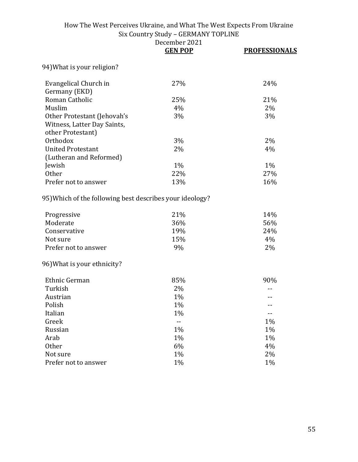|                                                                         | December 2021<br><b>GEN POP</b> | <b>PROFESSIONALS</b> |
|-------------------------------------------------------------------------|---------------------------------|----------------------|
| 94) What is your religion?                                              |                                 |                      |
| Evangelical Church in                                                   | 27%                             | 24%                  |
| Germany (EKD)                                                           |                                 |                      |
| Roman Catholic                                                          | 25%                             | 21%                  |
| Muslim                                                                  | 4%                              | 2%                   |
| Other Protestant (Jehovah's                                             | 3%                              | 3%                   |
| Witness, Latter Day Saints,                                             |                                 |                      |
| other Protestant)                                                       |                                 |                      |
| Orthodox                                                                | 3%                              | 2%                   |
| <b>United Protestant</b>                                                | 2%                              | 4%                   |
| (Lutheran and Reformed)                                                 |                                 |                      |
| Jewish                                                                  | 1%                              | $1\%$                |
| <b>Other</b>                                                            | 22%                             | 27%                  |
| Prefer not to answer                                                    | 13%                             | 16%                  |
| 95) Which of the following best describes your ideology?<br>Progressive | 21%                             | 14%                  |
| Moderate                                                                | 36%                             | 56%                  |
| Conservative                                                            | 19%                             | 24%                  |
| Not sure                                                                | 15%                             | 4%                   |
| Prefer not to answer                                                    | 9%                              | 2%                   |
| 96) What is your ethnicity?                                             |                                 |                      |
| Ethnic German                                                           | 85%                             | 90%                  |
| Turkish                                                                 | 2%                              |                      |
| Austrian                                                                | 1%                              | $- -$                |
| Polish                                                                  | $1\%$                           |                      |
| Italian                                                                 | 1%                              |                      |
| Greek                                                                   | $-$                             | 1%                   |
| Russian                                                                 | 1%                              | 1%                   |
| Arab                                                                    | 1%                              | $1\%$                |
| <b>Other</b>                                                            | 6%                              | 4%                   |
| Not sure                                                                | 1%                              | 2%                   |
| Prefer not to answer                                                    | 1%                              | 1%                   |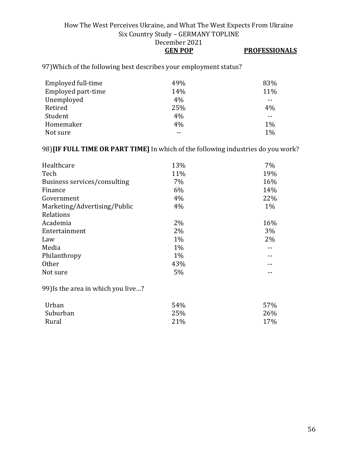# **GEN POP PROFESSIONALS**

97)Which of the following best describes your employment status?

| Employed full-time | 49% | 83%   |
|--------------------|-----|-------|
| Employed part-time | 14% | 11%   |
| Unemployed         | 4%  | --    |
| Retired            | 25% | 4%    |
| Student            | 4%  | --    |
| Homemaker          | 4%  | $1\%$ |
| Not sure           |     | 1%    |

## 98)**[IF FULL TIME OR PART TIME]** In which of the following industries do you work?

| Healthcare                   | 13%   | $7\%$ |
|------------------------------|-------|-------|
| Tech                         | 11%   | 19%   |
| Business services/consulting | 7%    | 16%   |
| Finance                      | 6%    | 14%   |
| Government                   | 4%    | 22%   |
| Marketing/Advertising/Public | 4%    | $1\%$ |
| Relations                    |       |       |
| Academia                     | 2%    | 16%   |
| Entertainment                | 2%    | 3%    |
| Law                          | $1\%$ | 2%    |
| Media                        | $1\%$ |       |
| Philanthropy                 | $1\%$ |       |
| Other                        | 43%   |       |
| Not sure                     | 5%    |       |

99)Is the area in which you live…?

| Urban    | 54% | 57% |
|----------|-----|-----|
| Suburban | 25% | 26% |
| Rural    | 21% | 17% |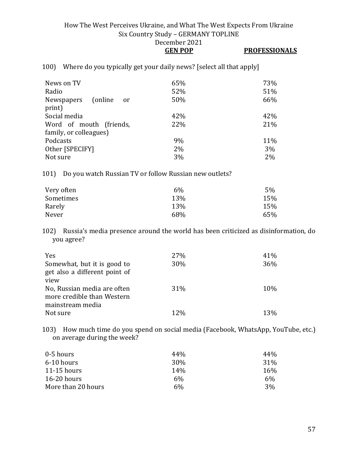## **GEN POP PROFESSIONALS**

100) Where do you typically get your daily news? [select all that apply]

| News on TV<br>Radio          | 65%<br>52% | 73%<br>51% |
|------------------------------|------------|------------|
| (online)<br>Newspapers<br>or | 50%        | 66%        |
| print)                       |            |            |
| Social media                 | 42%        | 42%        |
| Word of mouth (friends,      | 22%        | 21%        |
| family, or colleagues)       |            |            |
| Podcasts                     | 9%         | 11%        |
| Other [SPECIFY]              | $2\%$      | 3%         |
| Not sure                     | 3%         | 2%         |

101) Do you watch Russian TV or follow Russian new outlets?

| Very often | $6\%$ | 5%  |
|------------|-------|-----|
| Sometimes  | 13%   | 15% |
| Rarely     | 13%   | 15% |
| Never      | 68%   | 65% |

102) Russia's media presence around the world has been criticized as disinformation, do you agree?

| Yes                                                       | 27%        | 41% |
|-----------------------------------------------------------|------------|-----|
| Somewhat, but it is good to                               | 30%        | 36% |
| get also a different point of<br>view                     |            |     |
|                                                           |            |     |
| No, Russian media are often<br>more credible than Western | 31%        | 10% |
| mainstream media                                          |            |     |
| Not sure                                                  | <b>12%</b> | 13% |
|                                                           |            |     |

103) How much time do you spend on social media (Facebook, WhatsApp, YouTube, etc.) on average during the week?

| 0-5 hours          | 44%             | 44% |
|--------------------|-----------------|-----|
| 6-10 hours         | 30 <sub>%</sub> | 31% |
| $11-15$ hours      | 14 <sub>%</sub> | 16% |
| $16-20$ hours      | 6%              | 6%  |
| More than 20 hours | 6%              | 3%  |